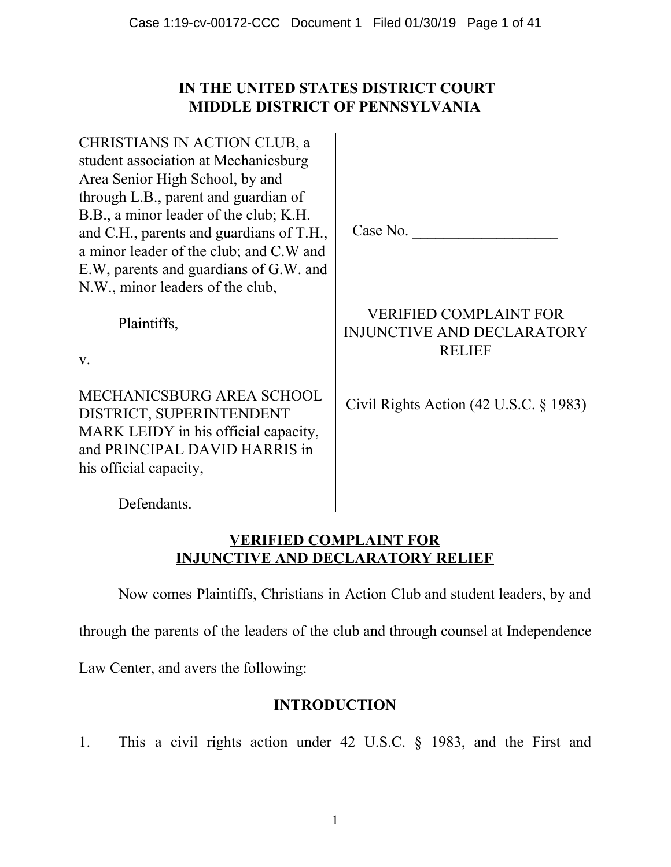# **IN THE UNITED STATES DISTRICT COURT MIDDLE DISTRICT OF PENNSYLVANIA**

CHRISTIANS IN ACTION CLUB, a student association at Mechanicsburg Area Senior High School, by and through L.B., parent and guardian of B.B., a minor leader of the club; K.H. and C.H., parents and guardians of T.H., a minor leader of the club; and C.W and E.W, parents and guardians of G.W. and N.W., minor leaders of the club,

Plaintiffs,

v.

MECHANICSBURG AREA SCHOOL DISTRICT, SUPERINTENDENT MARK LEIDY in his official capacity, and PRINCIPAL DAVID HARRIS in his official capacity,

VERIFIED COMPLAINT FOR INJUNCTIVE AND DECLARATORY RELIEF

Case No.

Civil Rights Action (42 U.S.C. § 1983)

Defendants.

# **VERIFIED COMPLAINT FOR INJUNCTIVE AND DECLARATORY RELIEF**

Now comes Plaintiffs, Christians in Action Club and student leaders, by and

through the parents of the leaders of the club and through counsel at Independence

Law Center, and avers the following:

# **INTRODUCTION**

1. This a civil rights action under 42 U.S.C. § 1983, and the First and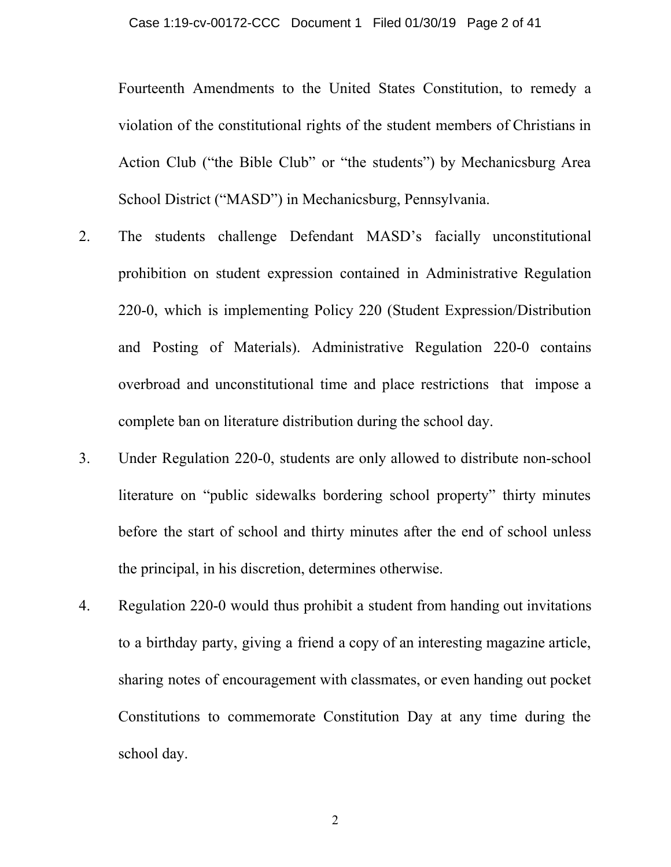Fourteenth Amendments to the United States Constitution, to remedy a violation of the constitutional rights of the student members of Christians in Action Club ("the Bible Club" or "the students") by Mechanicsburg Area School District ("MASD") in Mechanicsburg, Pennsylvania.

- 2. The students challenge Defendant MASD's facially unconstitutional prohibition on student expression contained in Administrative Regulation 220-0, which is implementing Policy 220 (Student Expression/Distribution and Posting of Materials). Administrative Regulation 220-0 contains overbroad and unconstitutional time and place restrictions that impose a complete ban on literature distribution during the school day.
- 3. Under Regulation 220-0, students are only allowed to distribute non-school literature on "public sidewalks bordering school property" thirty minutes before the start of school and thirty minutes after the end of school unless the principal, in his discretion, determines otherwise.
- 4. Regulation 220-0 would thus prohibit a student from handing out invitations to a birthday party, giving a friend a copy of an interesting magazine article, sharing notes of encouragement with classmates, or even handing out pocket Constitutions to commemorate Constitution Day at any time during the school day.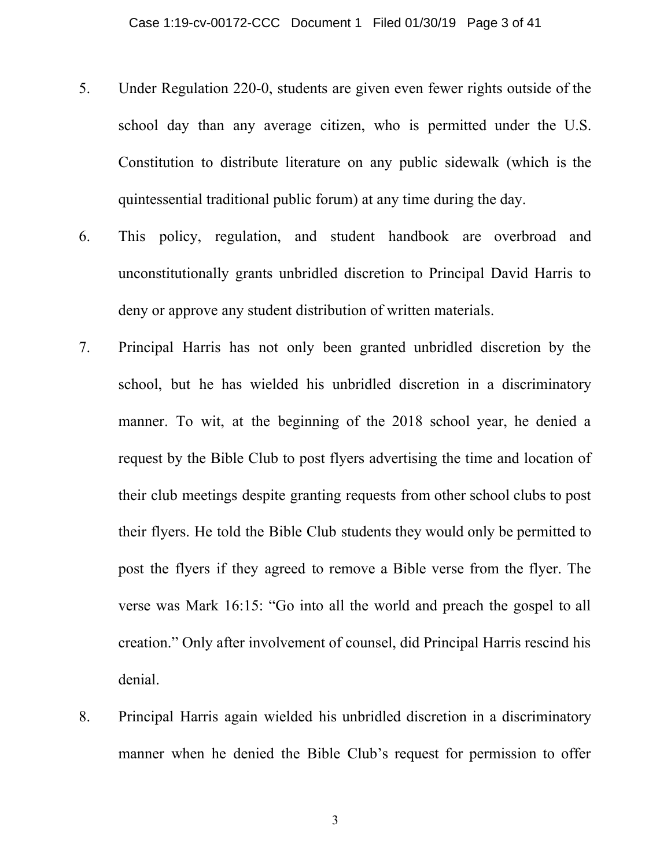- 5. Under Regulation 220-0, students are given even fewer rights outside of the school day than any average citizen, who is permitted under the U.S. Constitution to distribute literature on any public sidewalk (which is the quintessential traditional public forum) at any time during the day.
- 6. This policy, regulation, and student handbook are overbroad and unconstitutionally grants unbridled discretion to Principal David Harris to deny or approve any student distribution of written materials.
- 7. Principal Harris has not only been granted unbridled discretion by the school, but he has wielded his unbridled discretion in a discriminatory manner. To wit, at the beginning of the 2018 school year, he denied a request by the Bible Club to post flyers advertising the time and location of their club meetings despite granting requests from other school clubs to post their flyers. He told the Bible Club students they would only be permitted to post the flyers if they agreed to remove a Bible verse from the flyer. The verse was Mark 16:15: "Go into all the world and preach the gospel to all creation." Only after involvement of counsel, did Principal Harris rescind his denial.
- 8. Principal Harris again wielded his unbridled discretion in a discriminatory manner when he denied the Bible Club's request for permission to offer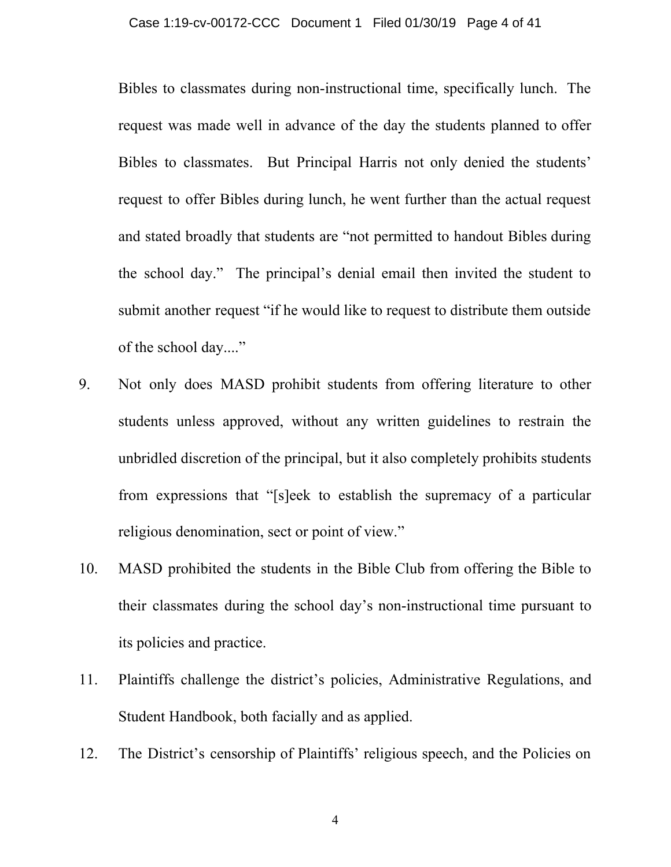Bibles to classmates during non-instructional time, specifically lunch. The request was made well in advance of the day the students planned to offer Bibles to classmates. But Principal Harris not only denied the students' request to offer Bibles during lunch, he went further than the actual request and stated broadly that students are "not permitted to handout Bibles during the school day." The principal's denial email then invited the student to submit another request "if he would like to request to distribute them outside of the school day...."

- 9. Not only does MASD prohibit students from offering literature to other students unless approved, without any written guidelines to restrain the unbridled discretion of the principal, but it also completely prohibits students from expressions that "[s]eek to establish the supremacy of a particular religious denomination, sect or point of view."
- 10. MASD prohibited the students in the Bible Club from offering the Bible to their classmates during the school day's non-instructional time pursuant to its policies and practice.
- 11. Plaintiffs challenge the district's policies, Administrative Regulations, and Student Handbook, both facially and as applied.
- 12. The District's censorship of Plaintiffs' religious speech, and the Policies on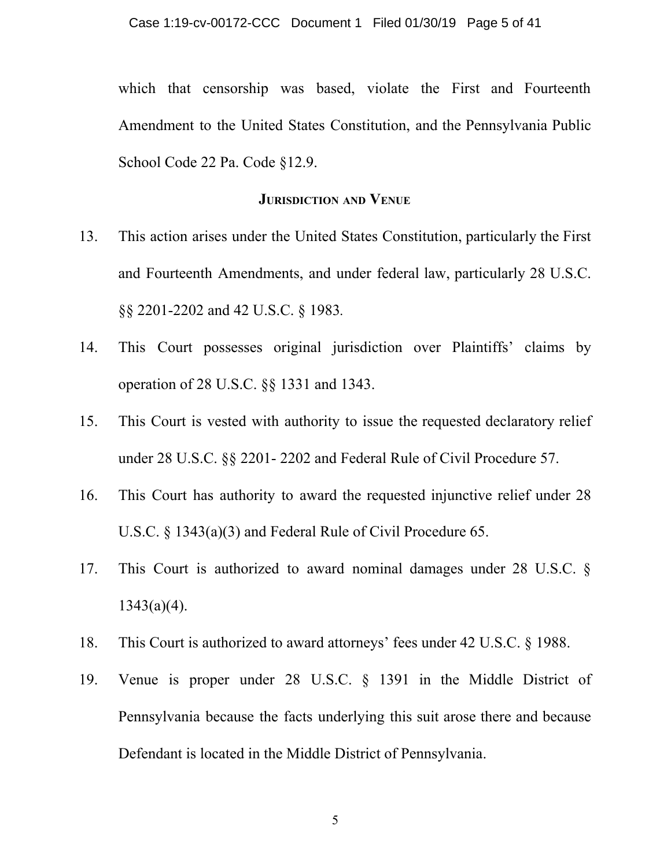which that censorship was based, violate the First and Fourteenth Amendment to the United States Constitution, and the Pennsylvania Public School Code 22 Pa. Code §12.9.

#### **JURISDICTION AND VENUE**

- 13. This action arises under the United States Constitution, particularly the First and Fourteenth Amendments, and under federal law, particularly 28 U.S.C. §§ 2201-2202 and 42 U.S.C. § 1983*.*
- 14. This Court possesses original jurisdiction over Plaintiffs' claims by operation of 28 U.S.C. §§ 1331 and 1343.
- 15. This Court is vested with authority to issue the requested declaratory relief under 28 U.S.C. §§ 2201- 2202 and Federal Rule of Civil Procedure 57.
- 16. This Court has authority to award the requested injunctive relief under 28 U.S.C. § 1343(a)(3) and Federal Rule of Civil Procedure 65.
- 17. This Court is authorized to award nominal damages under 28 U.S.C. §  $1343(a)(4)$ .
- 18. This Court is authorized to award attorneys' fees under 42 U.S.C. § 1988.
- 19. Venue is proper under 28 U.S.C. § 1391 in the Middle District of Pennsylvania because the facts underlying this suit arose there and because Defendant is located in the Middle District of Pennsylvania.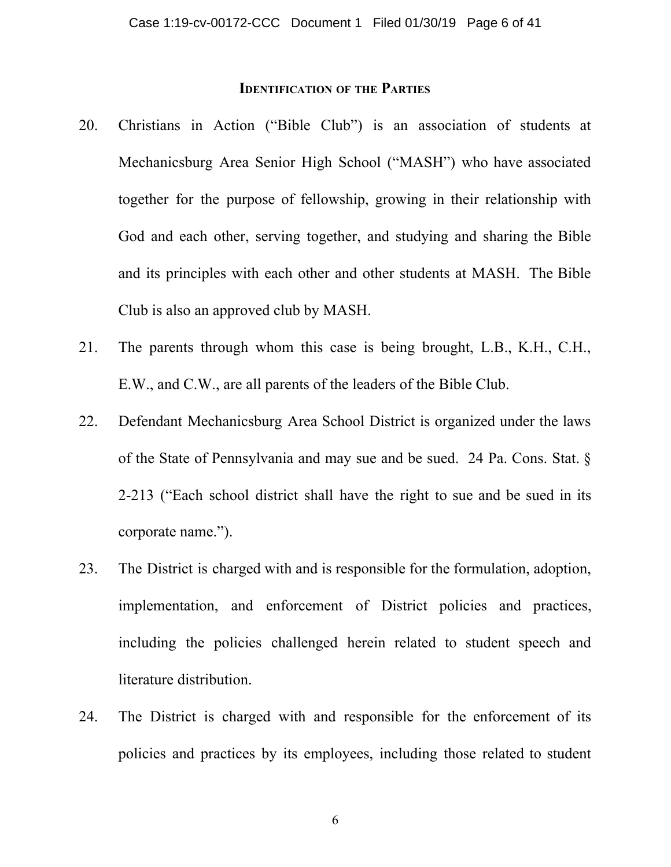#### **IDENTIFICATION OF THE PARTIES**

- 20. Christians in Action ("Bible Club") is an association of students at Mechanicsburg Area Senior High School ("MASH") who have associated together for the purpose of fellowship, growing in their relationship with God and each other, serving together, and studying and sharing the Bible and its principles with each other and other students at MASH. The Bible Club is also an approved club by MASH.
- 21. The parents through whom this case is being brought, L.B., K.H., C.H., E.W., and C.W., are all parents of the leaders of the Bible Club.
- 22. Defendant Mechanicsburg Area School District is organized under the laws of the State of Pennsylvania and may sue and be sued. 24 Pa. Cons. Stat. § 2-213 ("Each school district shall have the right to sue and be sued in its corporate name.").
- 23. The District is charged with and is responsible for the formulation, adoption, implementation, and enforcement of District policies and practices, including the policies challenged herein related to student speech and literature distribution.
- 24. The District is charged with and responsible for the enforcement of its policies and practices by its employees, including those related to student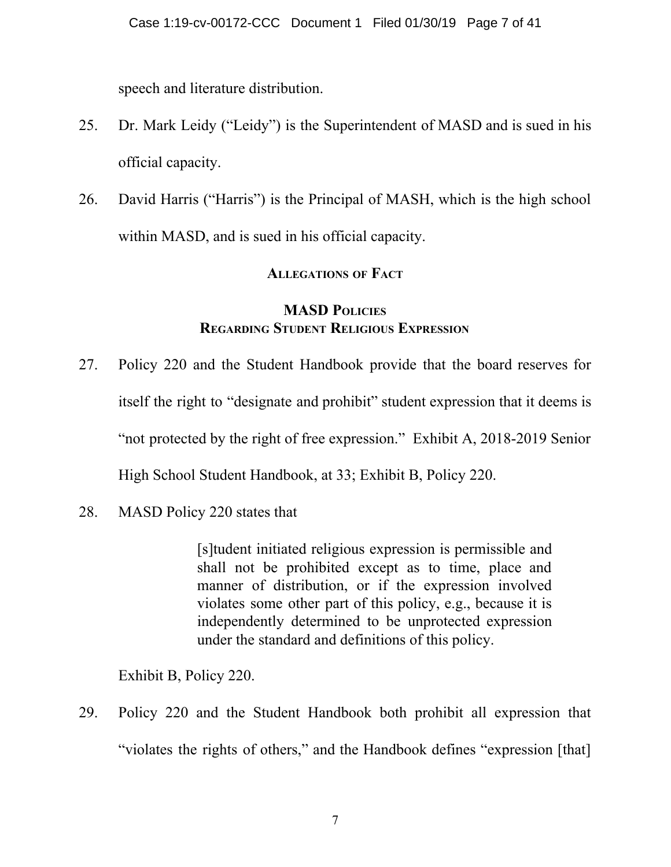speech and literature distribution.

- 25. Dr. Mark Leidy ("Leidy") is the Superintendent of MASD and is sued in his official capacity.
- 26. David Harris ("Harris") is the Principal of MASH, which is the high school within MASD, and is sued in his official capacity.

# **ALLEGATIONS OF FACT**

## **MASD POLICIES REGARDING STUDENT RELIGIOUS EXPRESSION**

- 27. Policy 220 and the Student Handbook provide that the board reserves for itself the right to "designate and prohibit" student expression that it deems is "not protected by the right of free expression." Exhibit A, 2018-2019 Senior High School Student Handbook, at 33; Exhibit B, Policy 220.
- 28. MASD Policy 220 states that

[s]tudent initiated religious expression is permissible and shall not be prohibited except as to time, place and manner of distribution, or if the expression involved violates some other part of this policy, e.g., because it is independently determined to be unprotected expression under the standard and definitions of this policy.

Exhibit B, Policy 220.

29. Policy 220 and the Student Handbook both prohibit all expression that "violates the rights of others," and the Handbook defines "expression [that]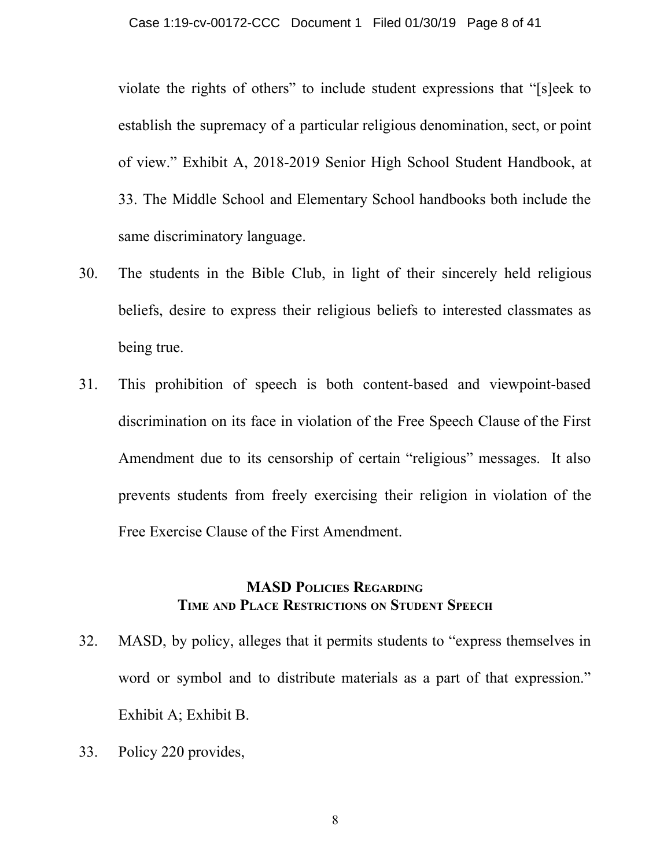violate the rights of others" to include student expressions that "[s]eek to establish the supremacy of a particular religious denomination, sect, or point of view." Exhibit A, 2018-2019 Senior High School Student Handbook, at 33. The Middle School and Elementary School handbooks both include the same discriminatory language.

- 30. The students in the Bible Club, in light of their sincerely held religious beliefs, desire to express their religious beliefs to interested classmates as being true.
- 31. This prohibition of speech is both content-based and viewpoint-based discrimination on its face in violation of the Free Speech Clause of the First Amendment due to its censorship of certain "religious" messages. It also prevents students from freely exercising their religion in violation of the Free Exercise Clause of the First Amendment.

## **MASD POLICIES REGARDING TIME AND PLACE RESTRICTIONS ON STUDENT SPEECH**

- 32. MASD, by policy, alleges that it permits students to "express themselves in word or symbol and to distribute materials as a part of that expression." Exhibit A; Exhibit B.
- 33. Policy 220 provides,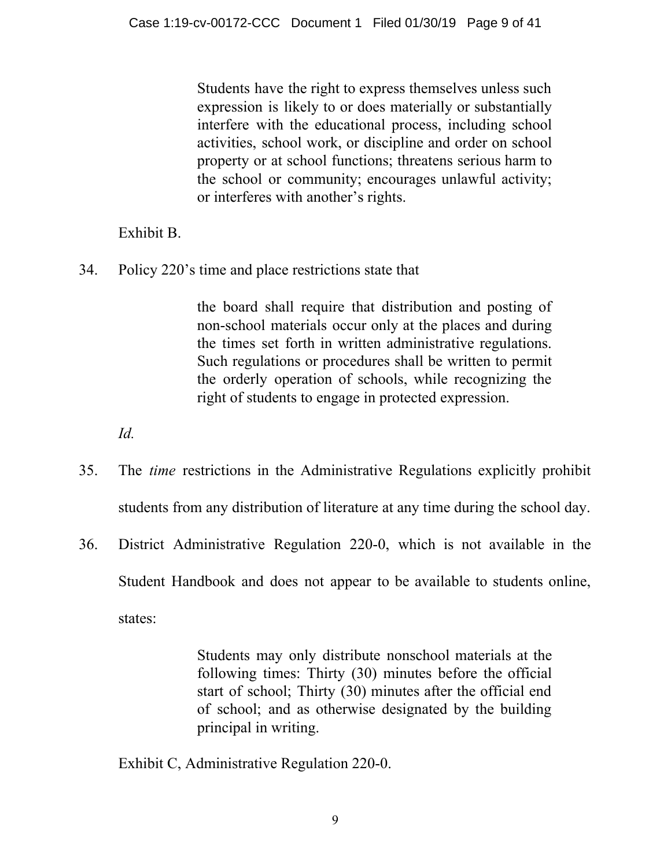Students have the right to express themselves unless such expression is likely to or does materially or substantially interfere with the educational process, including school activities, school work, or discipline and order on school property or at school functions; threatens serious harm to the school or community; encourages unlawful activity; or interferes with another's rights.

Exhibit B.

34. Policy 220's time and place restrictions state that

the board shall require that distribution and posting of non-school materials occur only at the places and during the times set forth in written administrative regulations. Such regulations or procedures shall be written to permit the orderly operation of schools, while recognizing the right of students to engage in protected expression.

*Id.*

- 35. The *time* restrictions in the Administrative Regulations explicitly prohibit students from any distribution of literature at any time during the school day.
- 36. District Administrative Regulation 220-0, which is not available in the Student Handbook and does not appear to be available to students online, states:

Students may only distribute nonschool materials at the following times: Thirty (30) minutes before the official start of school; Thirty (30) minutes after the official end of school; and as otherwise designated by the building principal in writing.

Exhibit C, Administrative Regulation 220-0.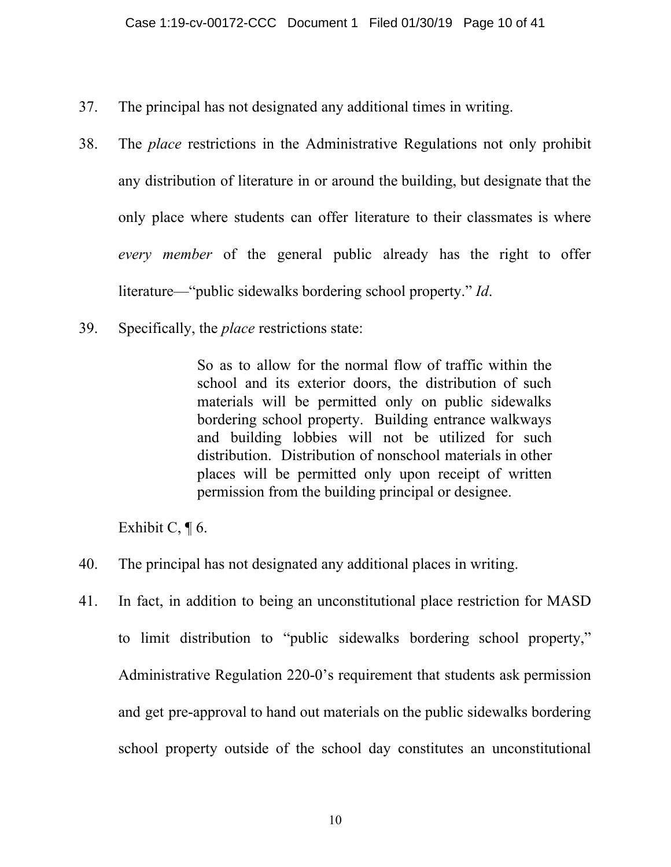- 37. The principal has not designated any additional times in writing.
- 38. The *place* restrictions in the Administrative Regulations not only prohibit any distribution of literature in or around the building, but designate that the only place where students can offer literature to their classmates is where *every member* of the general public already has the right to offer literature—"public sidewalks bordering school property." *Id*.
- 39. Specifically, the *place* restrictions state:

So as to allow for the normal flow of traffic within the school and its exterior doors, the distribution of such materials will be permitted only on public sidewalks bordering school property. Building entrance walkways and building lobbies will not be utilized for such distribution. Distribution of nonschool materials in other places will be permitted only upon receipt of written permission from the building principal or designee.

Exhibit C,  $\P$  6.

- 40. The principal has not designated any additional places in writing.
- 41. In fact, in addition to being an unconstitutional place restriction for MASD to limit distribution to "public sidewalks bordering school property," Administrative Regulation 220-0's requirement that students ask permission and get pre-approval to hand out materials on the public sidewalks bordering school property outside of the school day constitutes an unconstitutional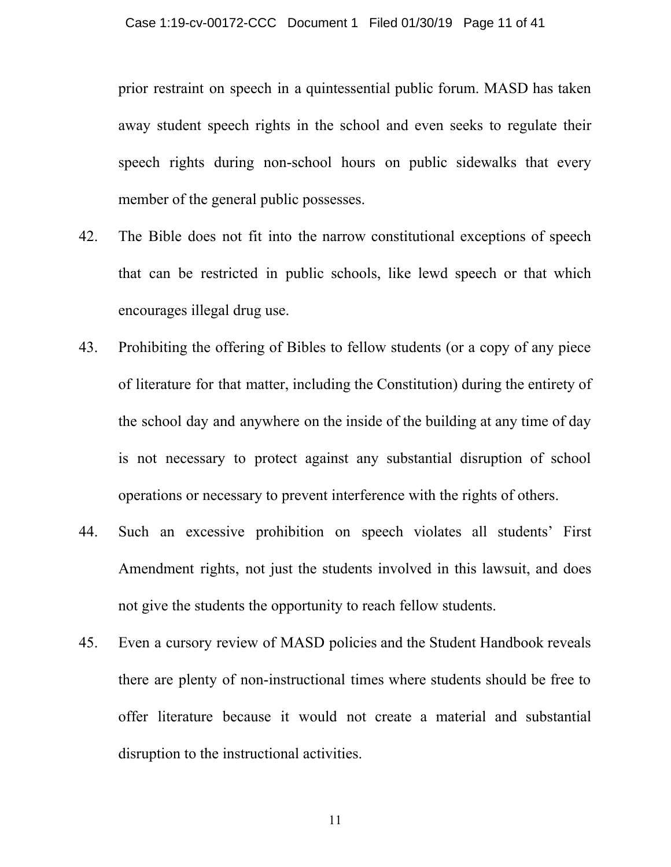prior restraint on speech in a quintessential public forum. MASD has taken away student speech rights in the school and even seeks to regulate their speech rights during non-school hours on public sidewalks that every member of the general public possesses.

- 42. The Bible does not fit into the narrow constitutional exceptions of speech that can be restricted in public schools, like lewd speech or that which encourages illegal drug use.
- 43. Prohibiting the offering of Bibles to fellow students (or a copy of any piece of literature for that matter, including the Constitution) during the entirety of the school day and anywhere on the inside of the building at any time of day is not necessary to protect against any substantial disruption of school operations or necessary to prevent interference with the rights of others.
- 44. Such an excessive prohibition on speech violates all students' First Amendment rights, not just the students involved in this lawsuit, and does not give the students the opportunity to reach fellow students.
- 45. Even a cursory review of MASD policies and the Student Handbook reveals there are plenty of non-instructional times where students should be free to offer literature because it would not create a material and substantial disruption to the instructional activities.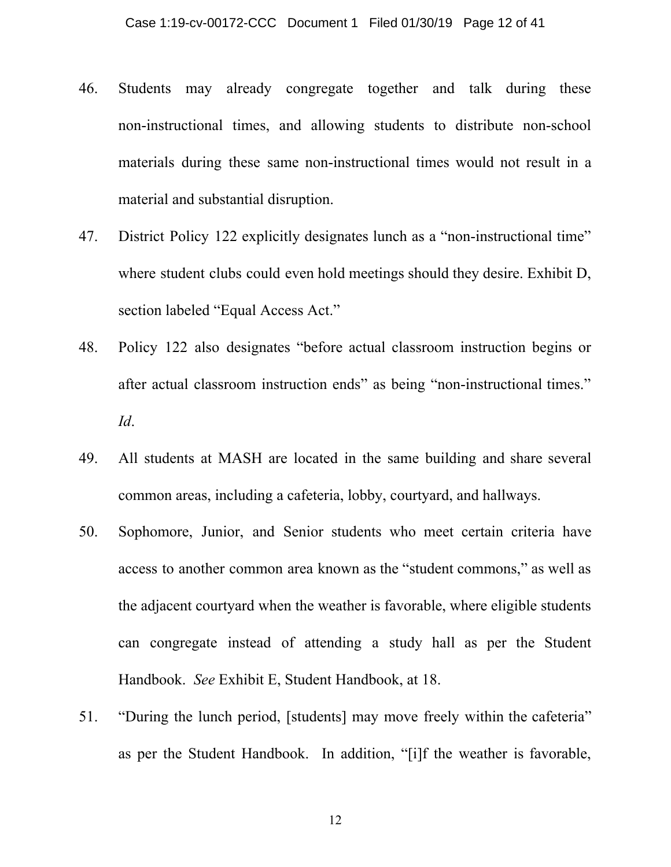- 46. Students may already congregate together and talk during these non-instructional times, and allowing students to distribute non-school materials during these same non-instructional times would not result in a material and substantial disruption.
- 47. District Policy 122 explicitly designates lunch as a "non-instructional time" where student clubs could even hold meetings should they desire. Exhibit D, section labeled "Equal Access Act."
- 48. Policy 122 also designates "before actual classroom instruction begins or after actual classroom instruction ends" as being "non-instructional times." *Id*.
- 49. All students at MASH are located in the same building and share several common areas, including a cafeteria, lobby, courtyard, and hallways.
- 50. Sophomore, Junior, and Senior students who meet certain criteria have access to another common area known as the "student commons," as well as the adjacent courtyard when the weather is favorable, where eligible students can congregate instead of attending a study hall as per the Student Handbook. *See* Exhibit E, Student Handbook, at 18.
- 51. "During the lunch period, [students] may move freely within the cafeteria" as per the Student Handbook. In addition, "[i]f the weather is favorable,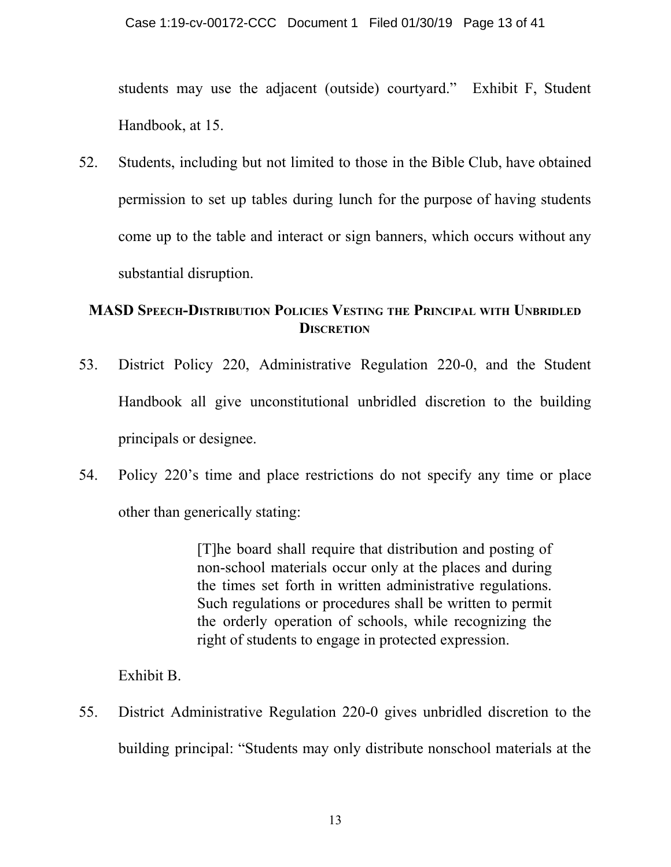students may use the adjacent (outside) courtyard." Exhibit F, Student Handbook, at 15.

52. Students, including but not limited to those in the Bible Club, have obtained permission to set up tables during lunch for the purpose of having students come up to the table and interact or sign banners, which occurs without any substantial disruption.

# **MASD SPEECH-DISTRIBUTION POLICIES VESTING THE PRINCIPAL WITH UNBRIDLED DISCRETION**

- 53. District Policy 220, Administrative Regulation 220-0, and the Student Handbook all give unconstitutional unbridled discretion to the building principals or designee.
- 54. Policy 220's time and place restrictions do not specify any time or place other than generically stating:

[T]he board shall require that distribution and posting of non-school materials occur only at the places and during the times set forth in written administrative regulations. Such regulations or procedures shall be written to permit the orderly operation of schools, while recognizing the right of students to engage in protected expression.

Exhibit B.

55. District Administrative Regulation 220-0 gives unbridled discretion to the building principal: "Students may only distribute nonschool materials at the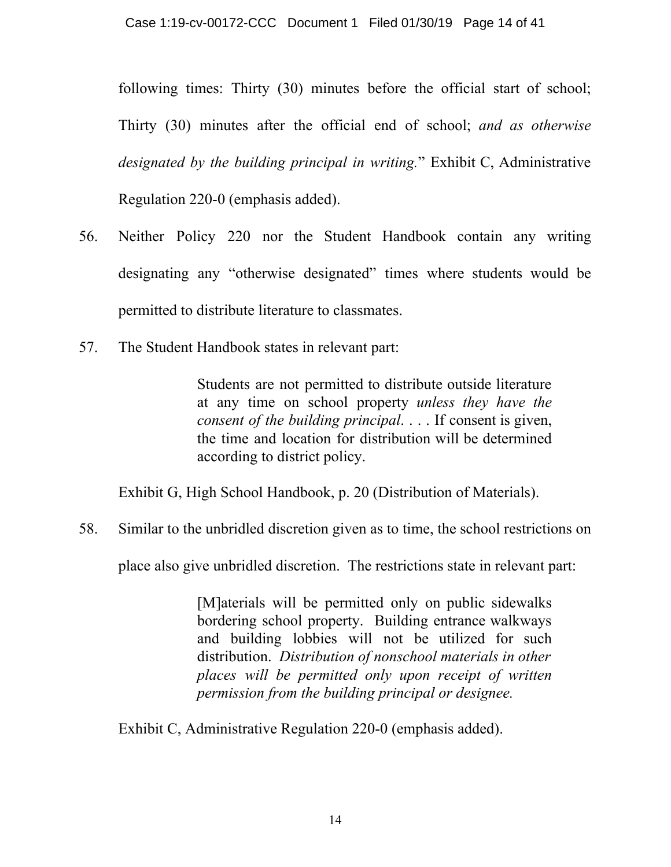following times: Thirty (30) minutes before the official start of school; Thirty (30) minutes after the official end of school; *and as otherwise designated by the building principal in writing.*" Exhibit C, Administrative Regulation 220-0 (emphasis added).

- 56. Neither Policy 220 nor the Student Handbook contain any writing designating any "otherwise designated" times where students would be permitted to distribute literature to classmates.
- 57. The Student Handbook states in relevant part:

Students are not permitted to distribute outside literature at any time on school property *unless they have the consent of the building principal*. . . . If consent is given, the time and location for distribution will be determined according to district policy.

Exhibit G, High School Handbook, p. 20 (Distribution of Materials).

58. Similar to the unbridled discretion given as to time, the school restrictions on

place also give unbridled discretion. The restrictions state in relevant part:

[M]aterials will be permitted only on public sidewalks bordering school property. Building entrance walkways and building lobbies will not be utilized for such distribution. *Distribution of nonschool materials in other places will be permitted only upon receipt of written permission from the building principal or designee.*

Exhibit C, Administrative Regulation 220-0 (emphasis added).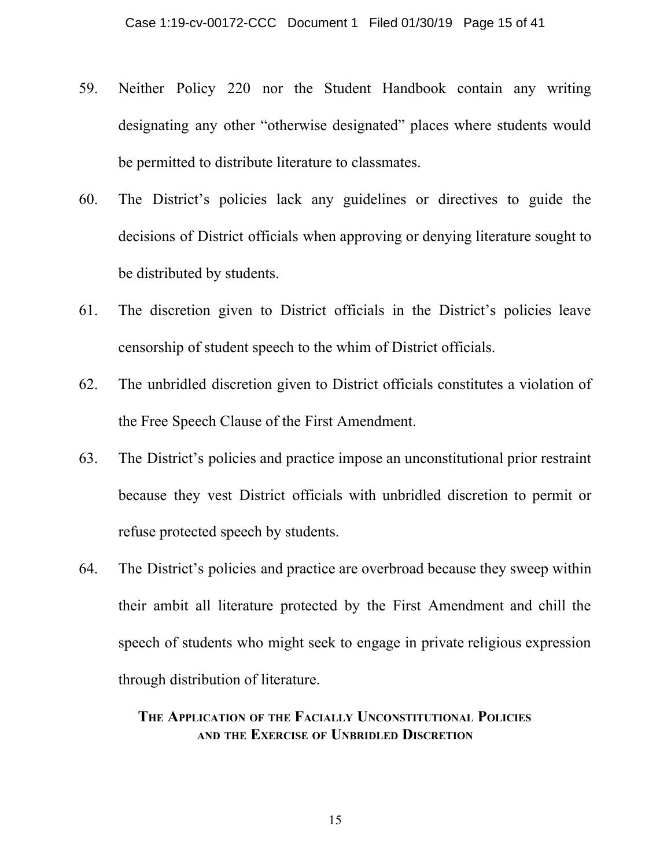- 59. Neither Policy 220 nor the Student Handbook contain any writing designating any other "otherwise designated" places where students would be permitted to distribute literature to classmates.
- 60. The District's policies lack any guidelines or directives to guide the decisions of District officials when approving or denying literature sought to be distributed by students.
- 61. The discretion given to District officials in the District's policies leave censorship of student speech to the whim of District officials.
- 62. The unbridled discretion given to District officials constitutes a violation of the Free Speech Clause of the First Amendment.
- 63. The District's policies and practice impose an unconstitutional prior restraint because they vest District officials with unbridled discretion to permit or refuse protected speech by students.
- 64. The District's policies and practice are overbroad because they sweep within their ambit all literature protected by the First Amendment and chill the speech of students who might seek to engage in private religious expression through distribution of literature.

## **THE APPLICATION OF THE FACIALLY UNCONSTITUTIONAL POLICIES AND THE EXERCISE OF UNBRIDLED DISCRETION**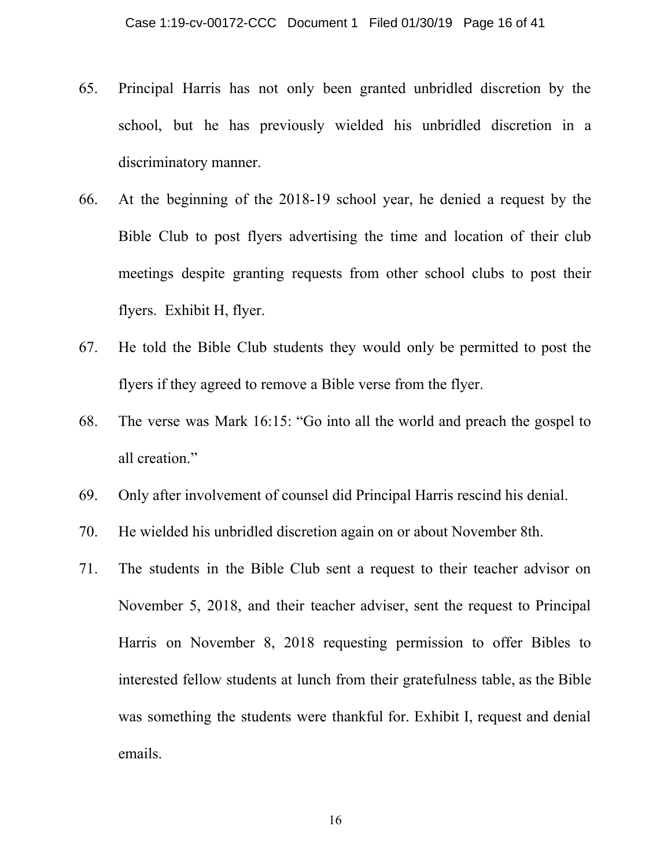- 65. Principal Harris has not only been granted unbridled discretion by the school, but he has previously wielded his unbridled discretion in a discriminatory manner.
- 66. At the beginning of the 2018-19 school year, he denied a request by the Bible Club to post flyers advertising the time and location of their club meetings despite granting requests from other school clubs to post their flyers. Exhibit H, flyer.
- 67. He told the Bible Club students they would only be permitted to post the flyers if they agreed to remove a Bible verse from the flyer.
- 68. The verse was Mark 16:15: "Go into all the world and preach the gospel to all creation."
- 69. Only after involvement of counsel did Principal Harris rescind his denial.
- 70. He wielded his unbridled discretion again on or about November 8th.
- 71. The students in the Bible Club sent a request to their teacher advisor on November 5, 2018, and their teacher adviser, sent the request to Principal Harris on November 8, 2018 requesting permission to offer Bibles to interested fellow students at lunch from their gratefulness table, as the Bible was something the students were thankful for. Exhibit I, request and denial emails.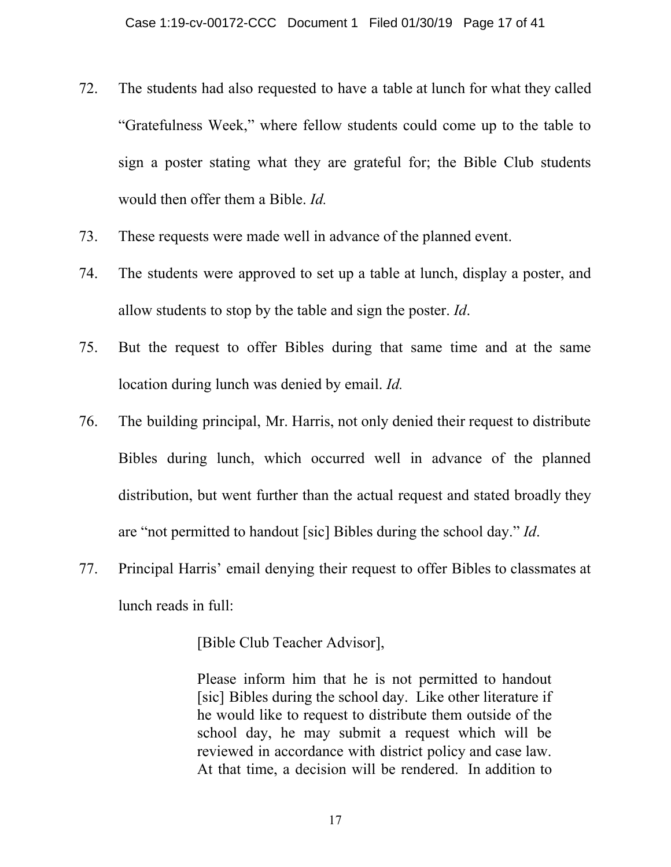- 72. The students had also requested to have a table at lunch for what they called "Gratefulness Week," where fellow students could come up to the table to sign a poster stating what they are grateful for; the Bible Club students would then offer them a Bible. *Id.*
- 73. These requests were made well in advance of the planned event.
- 74. The students were approved to set up a table at lunch, display a poster, and allow students to stop by the table and sign the poster. *Id*.
- 75. But the request to offer Bibles during that same time and at the same location during lunch was denied by email. *Id.*
- 76. The building principal, Mr. Harris, not only denied their request to distribute Bibles during lunch, which occurred well in advance of the planned distribution, but went further than the actual request and stated broadly they are "not permitted to handout [sic] Bibles during the school day." *Id*.
- 77. Principal Harris' email denying their request to offer Bibles to classmates at lunch reads in full:

[Bible Club Teacher Advisor],

Please inform him that he is not permitted to handout [sic] Bibles during the school day. Like other literature if he would like to request to distribute them outside of the school day, he may submit a request which will be reviewed in accordance with district policy and case law. At that time, a decision will be rendered. In addition to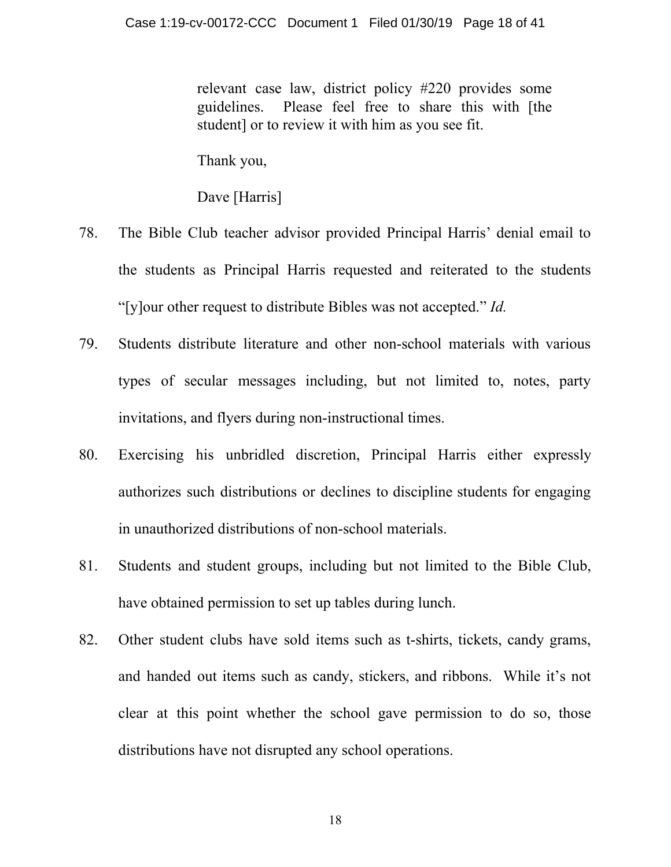relevant case law, district policy #220 provides some guidelines. Please feel free to share this with [the student] or to review it with him as you see fit.

Thank you,

Dave [Harris]

- 78. The Bible Club teacher advisor provided Principal Harris' denial email to the students as Principal Harris requested and reiterated to the students "[y]our other request to distribute Bibles was not accepted." *Id.*
- 79. Students distribute literature and other non-school materials with various types of secular messages including, but not limited to, notes, party invitations, and flyers during non-instructional times.
- 80. Exercising his unbridled discretion, Principal Harris either expressly authorizes such distributions or declines to discipline students for engaging in unauthorized distributions of non-school materials.
- 81. Students and student groups, including but not limited to the Bible Club, have obtained permission to set up tables during lunch.
- 82. Other student clubs have sold items such as t-shirts, tickets, candy grams, and handed out items such as candy, stickers, and ribbons. While it's not clear at this point whether the school gave permission to do so, those distributions have not disrupted any school operations.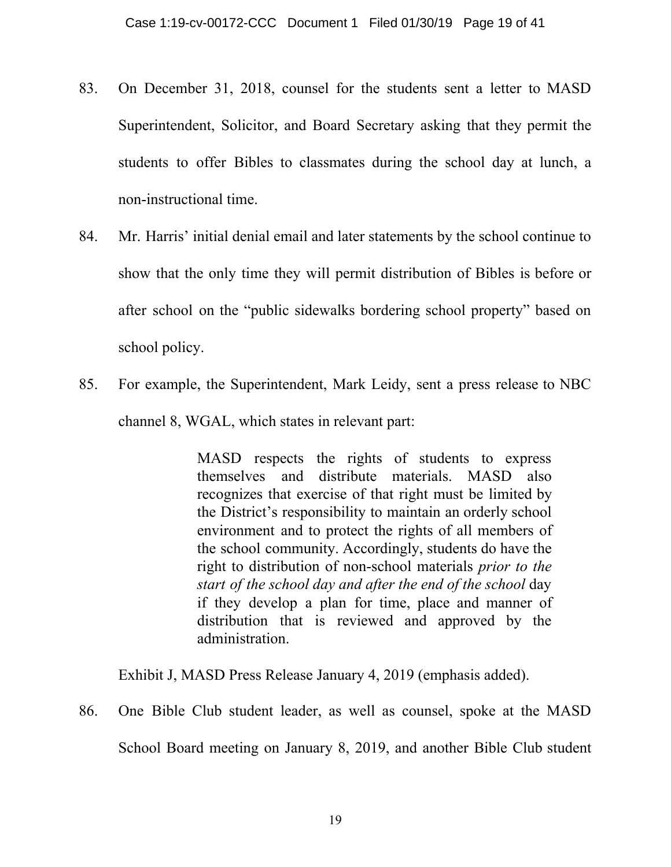- 83. On December 31, 2018, counsel for the students sent a letter to MASD Superintendent, Solicitor, and Board Secretary asking that they permit the students to offer Bibles to classmates during the school day at lunch, a non-instructional time.
- 84. Mr. Harris' initial denial email and later statements by the school continue to show that the only time they will permit distribution of Bibles is before or after school on the "public sidewalks bordering school property" based on school policy.
- 85. For example, the Superintendent, Mark Leidy, sent a press release to NBC channel 8, WGAL, which states in relevant part:

MASD respects the rights of students to express themselves and distribute materials. MASD also recognizes that exercise of that right must be limited by the District's responsibility to maintain an orderly school environment and to protect the rights of all members of the school community. Accordingly, students do have the right to distribution of non-school materials *prior to the start of the school day and after the end of the school* day if they develop a plan for time, place and manner of distribution that is reviewed and approved by the administration.

Exhibit J, MASD Press Release January 4, 2019 (emphasis added).

86. One Bible Club student leader, as well as counsel, spoke at the MASD School Board meeting on January 8, 2019, and another Bible Club student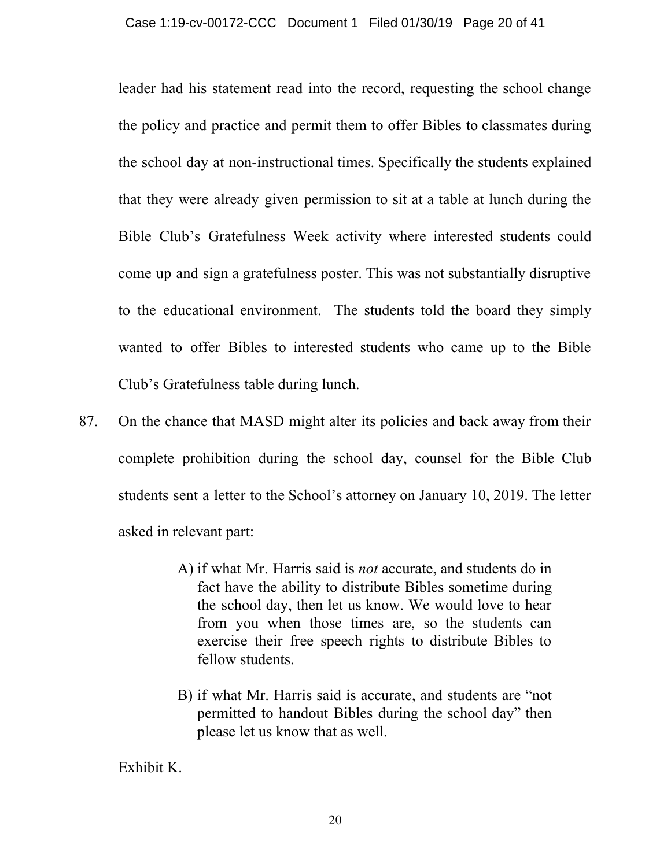leader had his statement read into the record, requesting the school change the policy and practice and permit them to offer Bibles to classmates during the school day at non-instructional times. Specifically the students explained that they were already given permission to sit at a table at lunch during the Bible Club's Gratefulness Week activity where interested students could come up and sign a gratefulness poster. This was not substantially disruptive to the educational environment. The students told the board they simply wanted to offer Bibles to interested students who came up to the Bible Club's Gratefulness table during lunch.

- 87. On the chance that MASD might alter its policies and back away from their complete prohibition during the school day, counsel for the Bible Club students sent a letter to the School's attorney on January 10, 2019. The letter asked in relevant part:
	- A) if what Mr. Harris said is *not* accurate, and students do in fact have the ability to distribute Bibles sometime during the school day, then let us know. We would love to hear from you when those times are, so the students can exercise their free speech rights to distribute Bibles to fellow students.
	- B) if what Mr. Harris said is accurate, and students are "not permitted to handout Bibles during the school day" then please let us know that as well.

Exhibit K.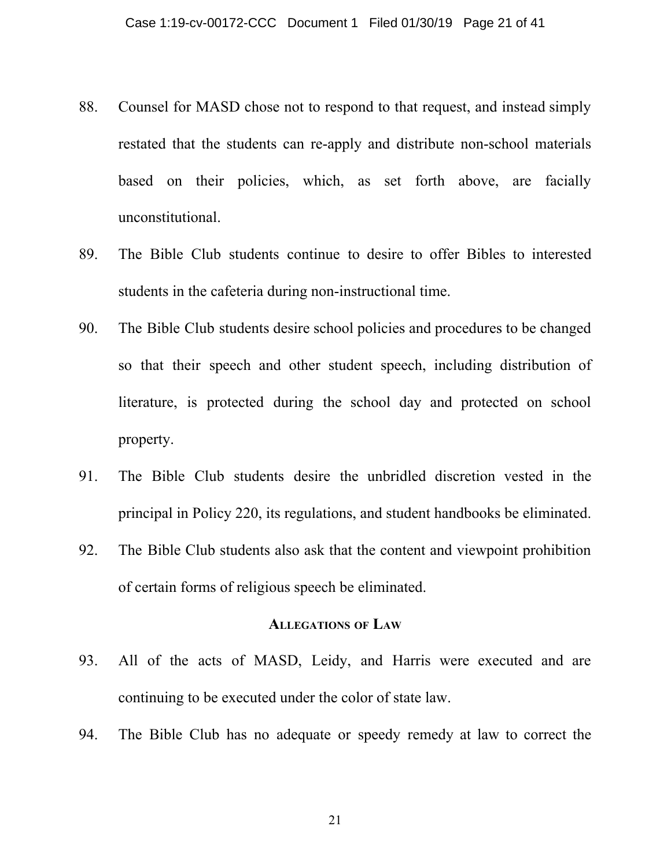- 88. Counsel for MASD chose not to respond to that request, and instead simply restated that the students can re-apply and distribute non-school materials based on their policies, which, as set forth above, are facially unconstitutional.
- 89. The Bible Club students continue to desire to offer Bibles to interested students in the cafeteria during non-instructional time.
- 90. The Bible Club students desire school policies and procedures to be changed so that their speech and other student speech, including distribution of literature, is protected during the school day and protected on school property.
- 91. The Bible Club students desire the unbridled discretion vested in the principal in Policy 220, its regulations, and student handbooks be eliminated.
- 92. The Bible Club students also ask that the content and viewpoint prohibition of certain forms of religious speech be eliminated.

#### **ALLEGATIONS OF LAW**

- 93. All of the acts of MASD, Leidy, and Harris were executed and are continuing to be executed under the color of state law.
- 94. The Bible Club has no adequate or speedy remedy at law to correct the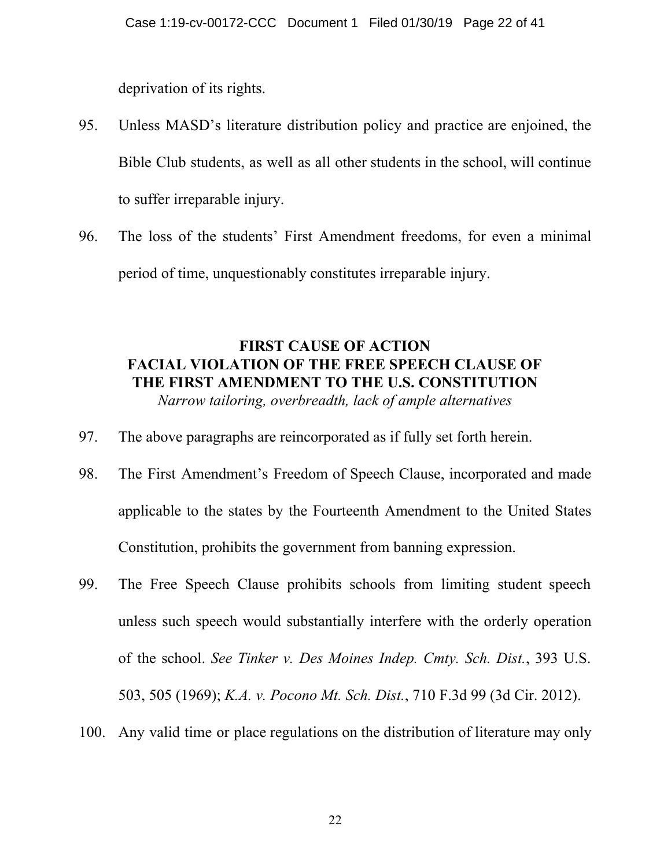deprivation of its rights.

- 95. Unless MASD's literature distribution policy and practice are enjoined, the Bible Club students, as well as all other students in the school, will continue to suffer irreparable injury.
- 96. The loss of the students' First Amendment freedoms, for even a minimal period of time, unquestionably constitutes irreparable injury.

# **FIRST CAUSE OF ACTION FACIAL VIOLATION OF THE FREE SPEECH CLAUSE OF THE FIRST AMENDMENT TO THE U.S. CONSTITUTION**

*Narrow tailoring, overbreadth, lack of ample alternatives*

- 97. The above paragraphs are reincorporated as if fully set forth herein.
- 98. The First Amendment's Freedom of Speech Clause, incorporated and made applicable to the states by the Fourteenth Amendment to the United States Constitution, prohibits the government from banning expression.
- 99. The Free Speech Clause prohibits schools from limiting student speech unless such speech would substantially interfere with the orderly operation of the school. *See Tinker v. Des Moines Indep. Cmty. Sch. Dist.*, 393 U.S. 503, 505 (1969); *K.A. v. Pocono Mt. Sch. Dist.*, 710 F.3d 99 (3d Cir. 2012).
- 100. Any valid time or place regulations on the distribution of literature may only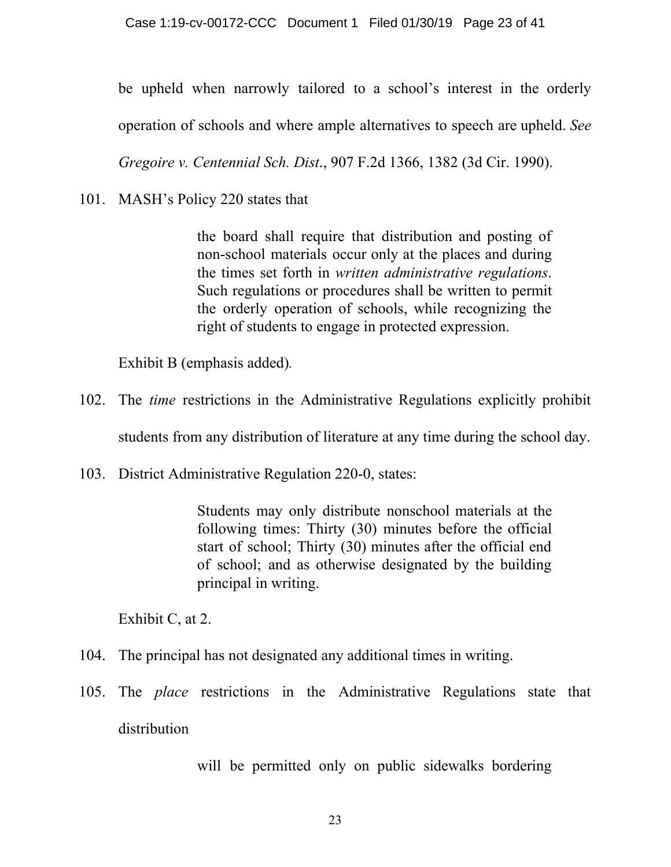be upheld when narrowly tailored to a school's interest in the orderly

operation of schools and where ample alternatives to speech are upheld. *See*

*Gregoire v. Centennial Sch. Dist*., 907 F.2d 1366, 1382 (3d Cir. 1990).

101. MASH's Policy 220 states that

the board shall require that distribution and posting of non-school materials occur only at the places and during the times set forth in *written administrative regulations*. Such regulations or procedures shall be written to permit the orderly operation of schools, while recognizing the right of students to engage in protected expression.

Exhibit B (emphasis added)*.*

102. The *time* restrictions in the Administrative Regulations explicitly prohibit

students from any distribution of literature at any time during the school day.

103. District Administrative Regulation 220-0, states:

Students may only distribute nonschool materials at the following times: Thirty (30) minutes before the official start of school; Thirty (30) minutes after the official end of school; and as otherwise designated by the building principal in writing.

Exhibit C, at 2.

- 104. The principal has not designated any additional times in writing.
- 105. The *place* restrictions in the Administrative Regulations state that distribution

will be permitted only on public sidewalks bordering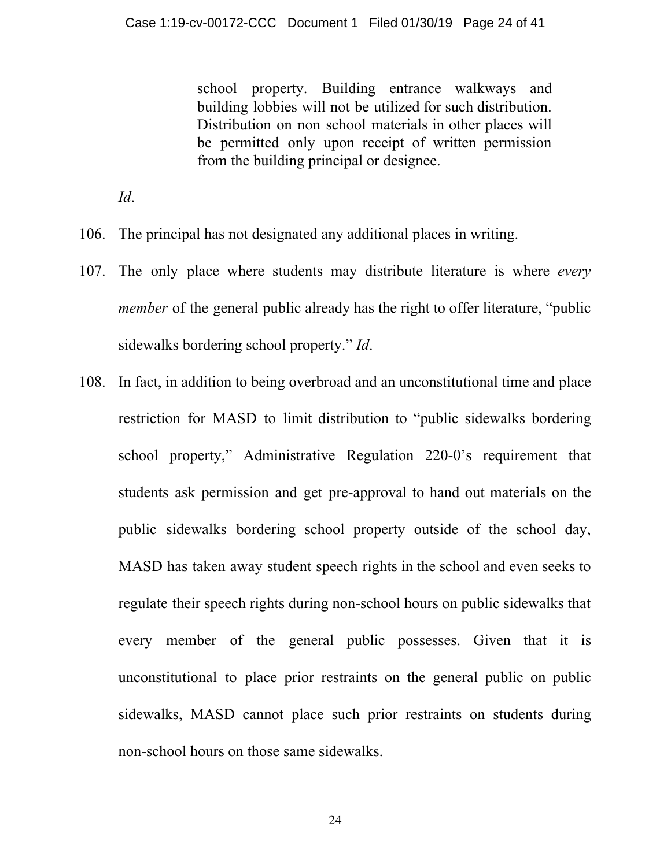school property. Building entrance walkways and building lobbies will not be utilized for such distribution. Distribution on non school materials in other places will be permitted only upon receipt of written permission from the building principal or designee.

*Id*.

- 106. The principal has not designated any additional places in writing.
- 107. The only place where students may distribute literature is where *every member* of the general public already has the right to offer literature, "public sidewalks bordering school property." *Id*.
- 108. In fact, in addition to being overbroad and an unconstitutional time and place restriction for MASD to limit distribution to "public sidewalks bordering school property," Administrative Regulation 220-0's requirement that students ask permission and get pre-approval to hand out materials on the public sidewalks bordering school property outside of the school day, MASD has taken away student speech rights in the school and even seeks to regulate their speech rights during non-school hours on public sidewalks that every member of the general public possesses. Given that it is unconstitutional to place prior restraints on the general public on public sidewalks, MASD cannot place such prior restraints on students during non-school hours on those same sidewalks.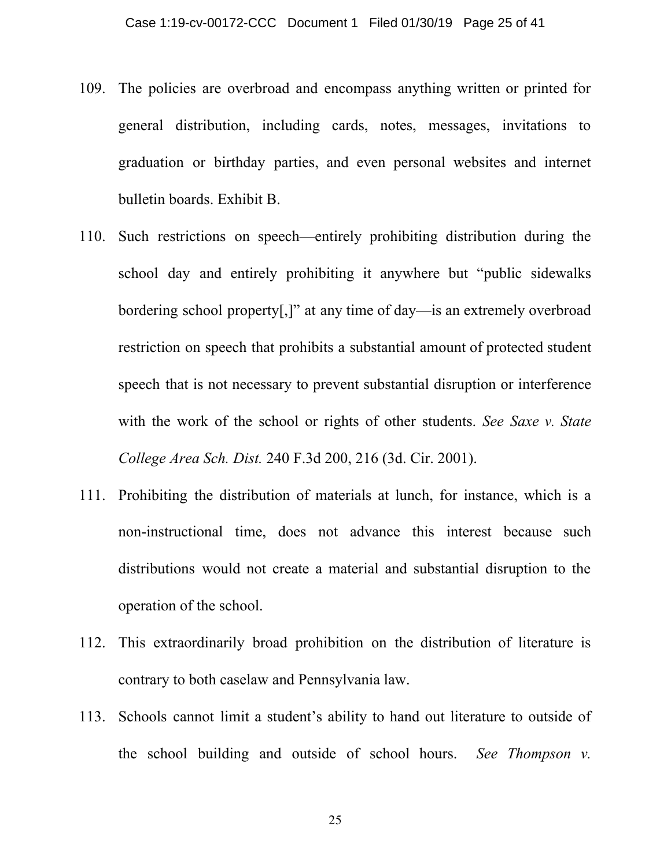- 109. The policies are overbroad and encompass anything written or printed for general distribution, including cards, notes, messages, invitations to graduation or birthday parties, and even personal websites and internet bulletin boards. Exhibit B.
- 110. Such restrictions on speech—entirely prohibiting distribution during the school day and entirely prohibiting it anywhere but "public sidewalks bordering school property[,]" at any time of day—is an extremely overbroad restriction on speech that prohibits a substantial amount of protected student speech that is not necessary to prevent substantial disruption or interference with the work of the school or rights of other students. *See Saxe v. State College Area Sch. Dist.* 240 F.3d 200, 216 (3d. Cir. 2001).
- 111. Prohibiting the distribution of materials at lunch, for instance, which is a non-instructional time, does not advance this interest because such distributions would not create a material and substantial disruption to the operation of the school.
- 112. This extraordinarily broad prohibition on the distribution of literature is contrary to both caselaw and Pennsylvania law.
- 113. Schools cannot limit a student's ability to hand out literature to outside of the school building and outside of school hours. *See Thompson v.*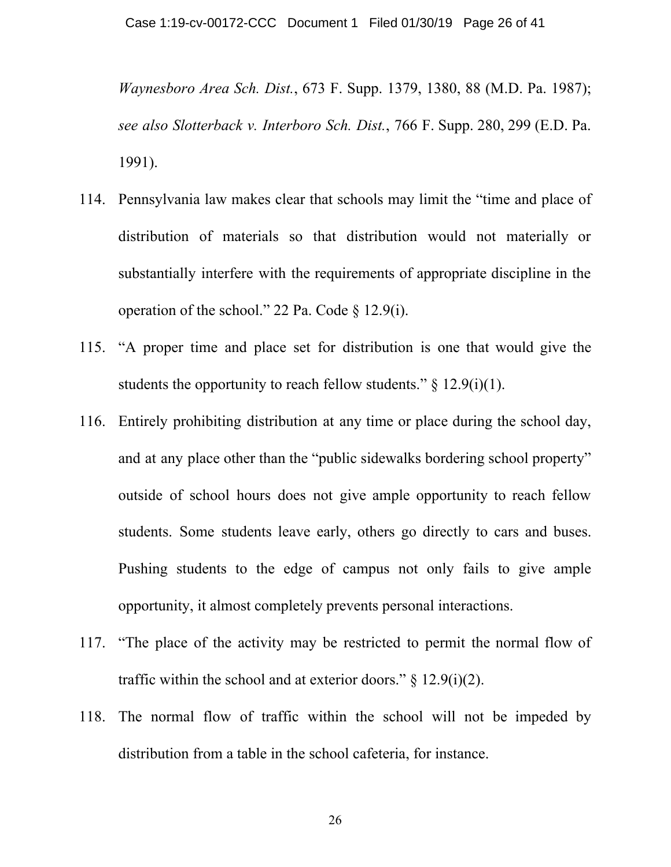*Waynesboro Area Sch. Dist.*, 673 F. Supp. 1379, 1380, 88 (M.D. Pa. 1987); *see also Slotterback v. Interboro Sch. Dist.*, 766 F. Supp. 280, 299 (E.D. Pa. 1991).

- 114. Pennsylvania law makes clear that schools may limit the "time and place of distribution of materials so that distribution would not materially or substantially interfere with the requirements of appropriate discipline in the operation of the school." 22 Pa. Code § 12.9(i).
- 115. "A proper time and place set for distribution is one that would give the students the opportunity to reach fellow students."  $\S$  12.9(i)(1).
- 116. Entirely prohibiting distribution at any time or place during the school day, and at any place other than the "public sidewalks bordering school property" outside of school hours does not give ample opportunity to reach fellow students. Some students leave early, others go directly to cars and buses. Pushing students to the edge of campus not only fails to give ample opportunity, it almost completely prevents personal interactions.
- 117. "The place of the activity may be restricted to permit the normal flow of traffic within the school and at exterior doors."  $\S$  12.9(i)(2).
- 118. The normal flow of traffic within the school will not be impeded by distribution from a table in the school cafeteria, for instance.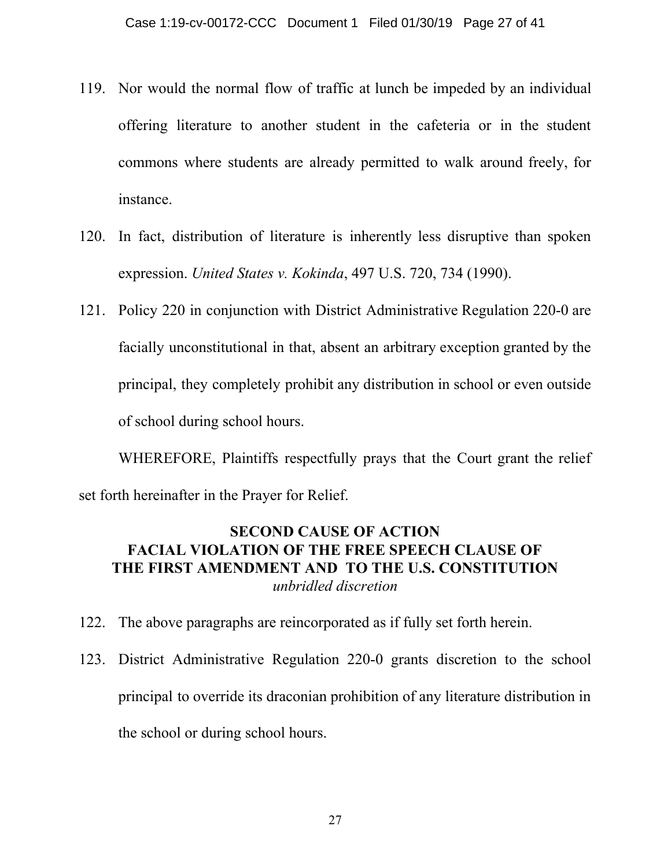- 119. Nor would the normal flow of traffic at lunch be impeded by an individual offering literature to another student in the cafeteria or in the student commons where students are already permitted to walk around freely, for instance.
- 120. In fact, distribution of literature is inherently less disruptive than spoken expression. *United States v. Kokinda*, 497 U.S. 720, 734 (1990).
- 121. Policy 220 in conjunction with District Administrative Regulation 220-0 are facially unconstitutional in that, absent an arbitrary exception granted by the principal, they completely prohibit any distribution in school or even outside of school during school hours.

WHEREFORE, Plaintiffs respectfully prays that the Court grant the relief set forth hereinafter in the Prayer for Relief.

# **SECOND CAUSE OF ACTION FACIAL VIOLATION OF THE FREE SPEECH CLAUSE OF THE FIRST AMENDMENT AND TO THE U.S. CONSTITUTION** *unbridled discretion*

- 122. The above paragraphs are reincorporated as if fully set forth herein.
- 123. District Administrative Regulation 220-0 grants discretion to the school principal to override its draconian prohibition of any literature distribution in the school or during school hours.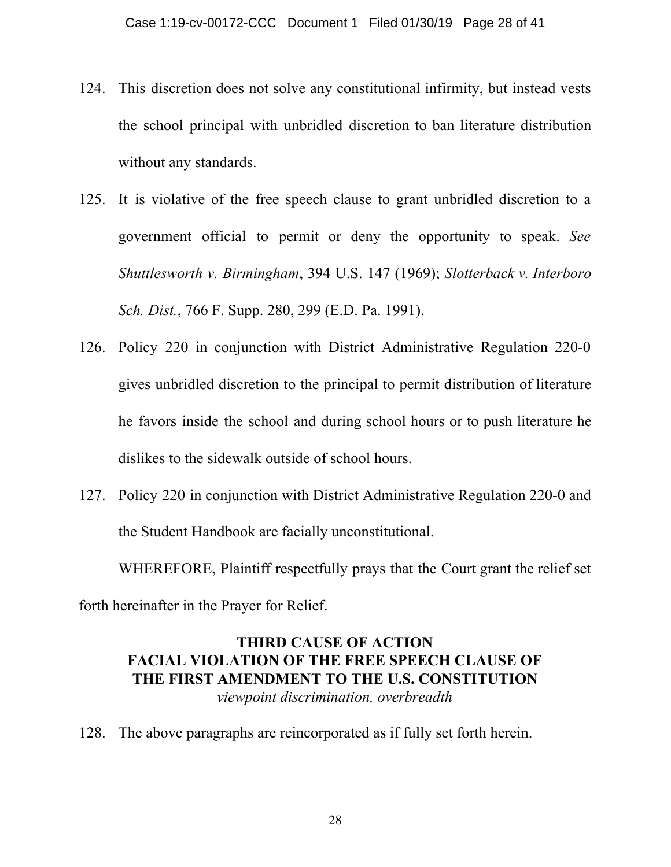- 124. This discretion does not solve any constitutional infirmity, but instead vests the school principal with unbridled discretion to ban literature distribution without any standards.
- 125. It is violative of the free speech clause to grant unbridled discretion to a government official to permit or deny the opportunity to speak. *See Shuttlesworth v. Birmingham*, 394 U.S. 147 (1969); *Slotterback v. Interboro Sch. Dist.*, 766 F. Supp. 280, 299 (E.D. Pa. 1991).
- 126. Policy 220 in conjunction with District Administrative Regulation 220-0 gives unbridled discretion to the principal to permit distribution of literature he favors inside the school and during school hours or to push literature he dislikes to the sidewalk outside of school hours.
- 127. Policy 220 in conjunction with District Administrative Regulation 220-0 and the Student Handbook are facially unconstitutional.

WHEREFORE, Plaintiff respectfully prays that the Court grant the relief set forth hereinafter in the Prayer for Relief.

# **THIRD CAUSE OF ACTION FACIAL VIOLATION OF THE FREE SPEECH CLAUSE OF THE FIRST AMENDMENT TO THE U.S. CONSTITUTION** *viewpoint discrimination, overbreadth*

128. The above paragraphs are reincorporated as if fully set forth herein.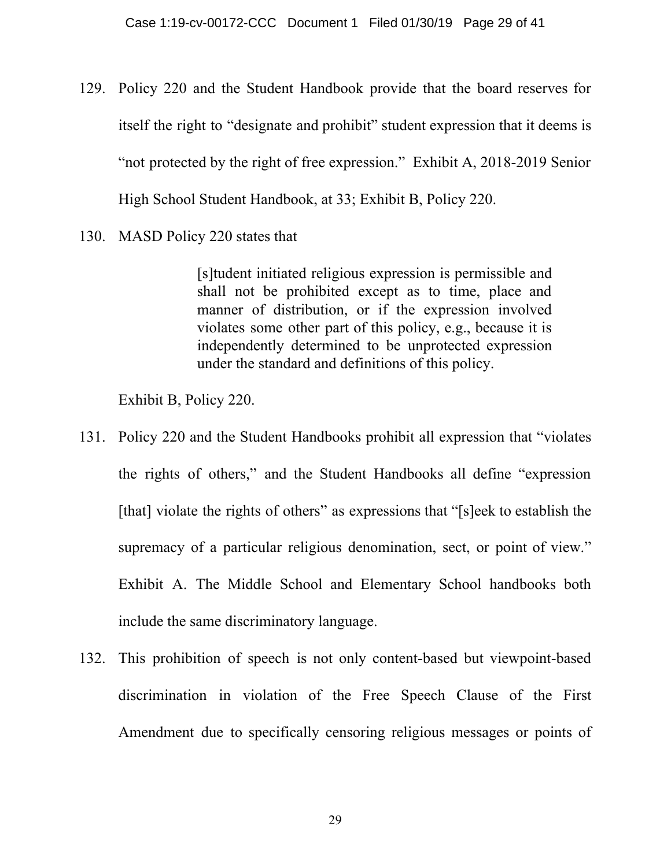- 129. Policy 220 and the Student Handbook provide that the board reserves for itself the right to "designate and prohibit" student expression that it deems is "not protected by the right of free expression." Exhibit A, 2018-2019 Senior High School Student Handbook, at 33; Exhibit B, Policy 220.
- 130. MASD Policy 220 states that

[s]tudent initiated religious expression is permissible and shall not be prohibited except as to time, place and manner of distribution, or if the expression involved violates some other part of this policy, e.g., because it is independently determined to be unprotected expression under the standard and definitions of this policy.

Exhibit B, Policy 220.

- 131. Policy 220 and the Student Handbooks prohibit all expression that "violates the rights of others," and the Student Handbooks all define "expression [that] violate the rights of others" as expressions that "[s]eek to establish the supremacy of a particular religious denomination, sect, or point of view." Exhibit A. The Middle School and Elementary School handbooks both include the same discriminatory language.
- 132. This prohibition of speech is not only content-based but viewpoint-based discrimination in violation of the Free Speech Clause of the First Amendment due to specifically censoring religious messages or points of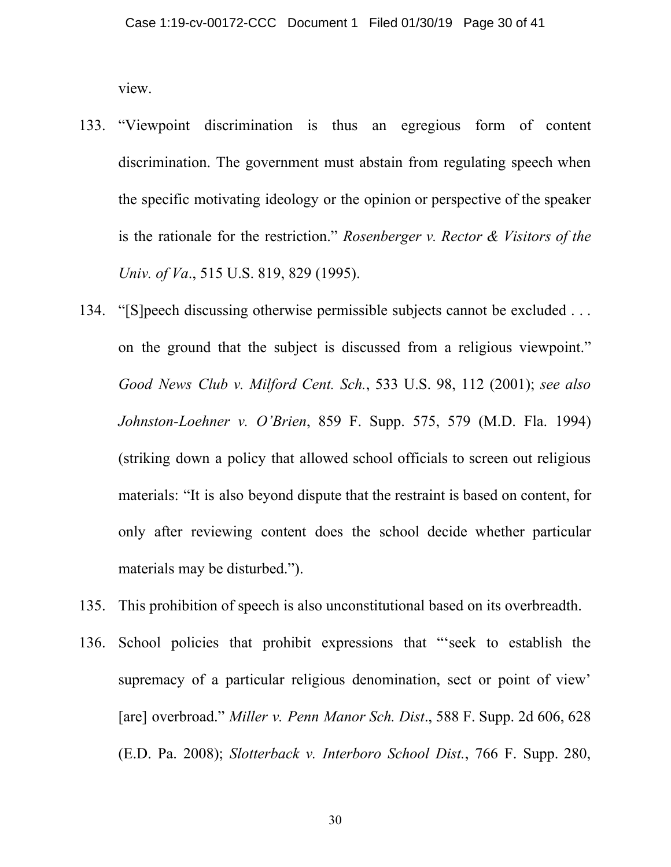view.

- 133. "Viewpoint discrimination is thus an egregious form of content discrimination. The government must abstain from regulating speech when the specific motivating ideology or the opinion or perspective of the speaker is the rationale for the restriction." *Rosenberger v. Rector & Visitors of the Univ. of Va*., 515 U.S. 819, 829 (1995).
- 134. "[S]peech discussing otherwise permissible subjects cannot be excluded . . . on the ground that the subject is discussed from a religious viewpoint." *Good News Club v. Milford Cent. Sch.*, 533 U.S. 98, 112 (2001); *see also Johnston-Loehner v. O'Brien*, 859 F. Supp. 575, 579 (M.D. Fla. 1994) (striking down a policy that allowed school officials to screen out religious materials: "It is also beyond dispute that the restraint is based on content, for only after reviewing content does the school decide whether particular materials may be disturbed.").
- 135. This prohibition of speech is also unconstitutional based on its overbreadth.
- 136. School policies that prohibit expressions that "'seek to establish the supremacy of a particular religious denomination, sect or point of view' [are] overbroad." *Miller v. Penn Manor Sch. Dist*., 588 F. Supp. 2d 606, 628 (E.D. Pa. 2008); *Slotterback v. Interboro School Dist.*, 766 F. Supp. 280,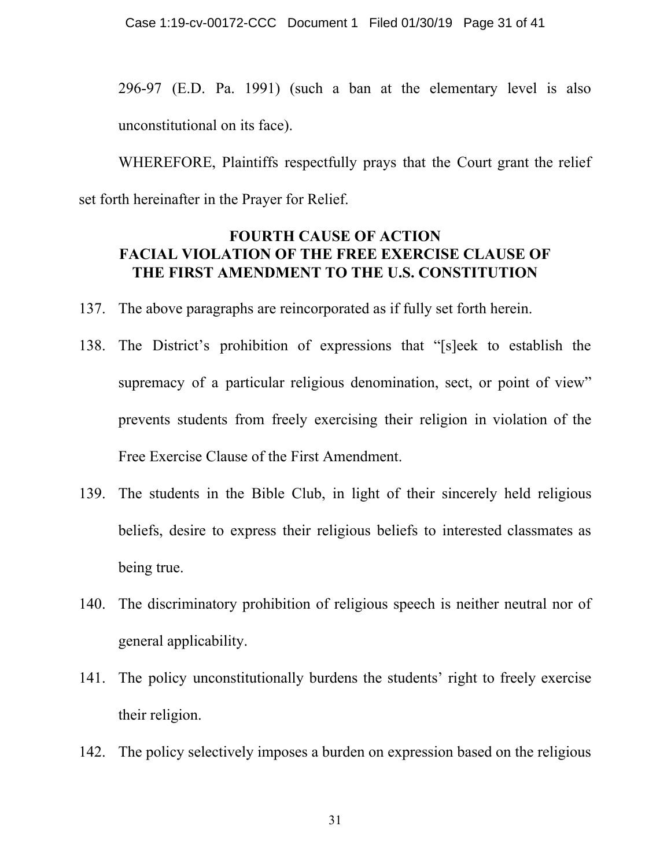296-97 (E.D. Pa. 1991) (such a ban at the elementary level is also unconstitutional on its face).

WHEREFORE, Plaintiffs respectfully prays that the Court grant the relief set forth hereinafter in the Prayer for Relief.

## **FOURTH CAUSE OF ACTION FACIAL VIOLATION OF THE FREE EXERCISE CLAUSE OF THE FIRST AMENDMENT TO THE U.S. CONSTITUTION**

- 137. The above paragraphs are reincorporated as if fully set forth herein.
- 138. The District's prohibition of expressions that "[s]eek to establish the supremacy of a particular religious denomination, sect, or point of view" prevents students from freely exercising their religion in violation of the Free Exercise Clause of the First Amendment.
- 139. The students in the Bible Club, in light of their sincerely held religious beliefs, desire to express their religious beliefs to interested classmates as being true.
- 140. The discriminatory prohibition of religious speech is neither neutral nor of general applicability.
- 141. The policy unconstitutionally burdens the students' right to freely exercise their religion.
- 142. The policy selectively imposes a burden on expression based on the religious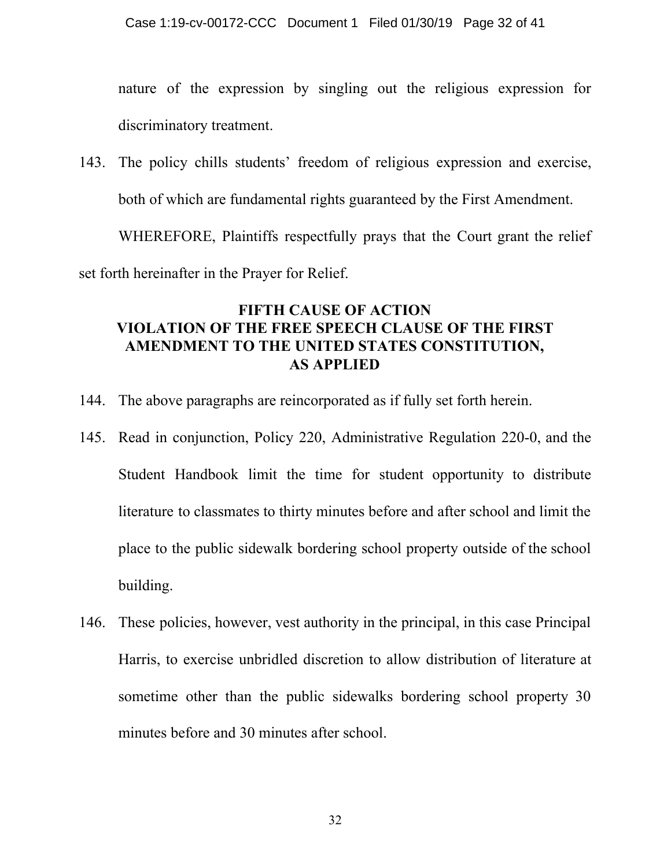nature of the expression by singling out the religious expression for discriminatory treatment.

143. The policy chills students' freedom of religious expression and exercise, both of which are fundamental rights guaranteed by the First Amendment.

WHEREFORE, Plaintiffs respectfully prays that the Court grant the relief set forth hereinafter in the Prayer for Relief.

# **FIFTH CAUSE OF ACTION VIOLATION OF THE FREE SPEECH CLAUSE OF THE FIRST AMENDMENT TO THE UNITED STATES CONSTITUTION, AS APPLIED**

- 144. The above paragraphs are reincorporated as if fully set forth herein.
- 145. Read in conjunction, Policy 220, Administrative Regulation 220-0, and the Student Handbook limit the time for student opportunity to distribute literature to classmates to thirty minutes before and after school and limit the place to the public sidewalk bordering school property outside of the school building.
- 146. These policies, however, vest authority in the principal, in this case Principal Harris, to exercise unbridled discretion to allow distribution of literature at sometime other than the public sidewalks bordering school property 30 minutes before and 30 minutes after school.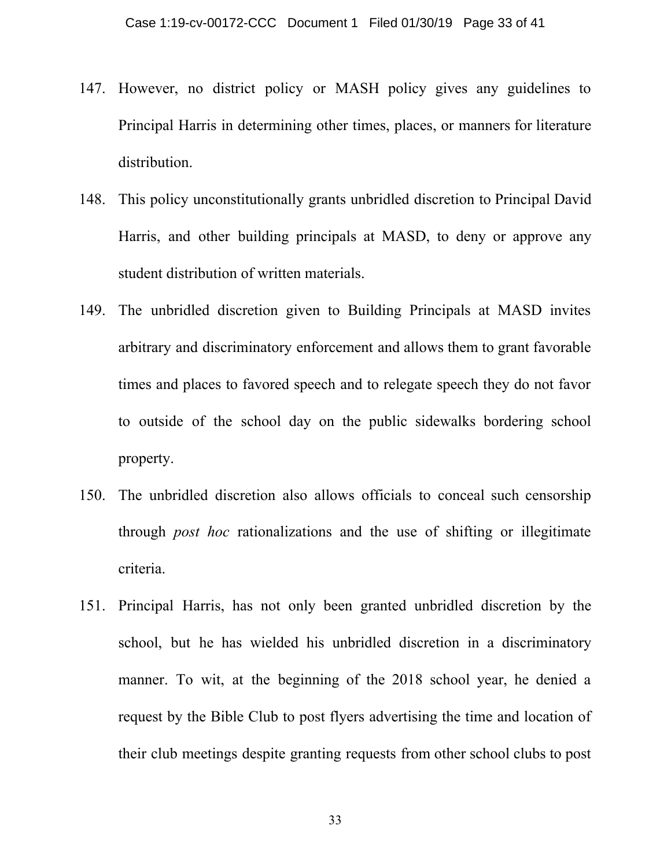- 147. However, no district policy or MASH policy gives any guidelines to Principal Harris in determining other times, places, or manners for literature distribution.
- 148. This policy unconstitutionally grants unbridled discretion to Principal David Harris, and other building principals at MASD, to deny or approve any student distribution of written materials.
- 149. The unbridled discretion given to Building Principals at MASD invites arbitrary and discriminatory enforcement and allows them to grant favorable times and places to favored speech and to relegate speech they do not favor to outside of the school day on the public sidewalks bordering school property.
- 150. The unbridled discretion also allows officials to conceal such censorship through *post hoc* rationalizations and the use of shifting or illegitimate criteria.
- 151. Principal Harris, has not only been granted unbridled discretion by the school, but he has wielded his unbridled discretion in a discriminatory manner. To wit, at the beginning of the 2018 school year, he denied a request by the Bible Club to post flyers advertising the time and location of their club meetings despite granting requests from other school clubs to post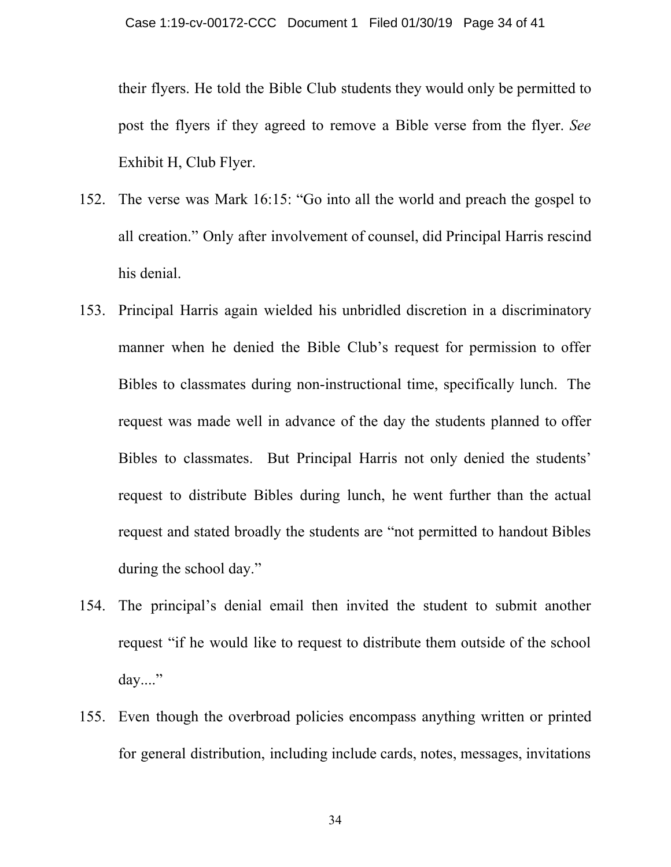their flyers. He told the Bible Club students they would only be permitted to post the flyers if they agreed to remove a Bible verse from the flyer. *See* Exhibit H, Club Flyer.

- 152. The verse was Mark 16:15: "Go into all the world and preach the gospel to all creation." Only after involvement of counsel, did Principal Harris rescind his denial.
- 153. Principal Harris again wielded his unbridled discretion in a discriminatory manner when he denied the Bible Club's request for permission to offer Bibles to classmates during non-instructional time, specifically lunch. The request was made well in advance of the day the students planned to offer Bibles to classmates. But Principal Harris not only denied the students' request to distribute Bibles during lunch, he went further than the actual request and stated broadly the students are "not permitted to handout Bibles during the school day."
- 154. The principal's denial email then invited the student to submit another request "if he would like to request to distribute them outside of the school day...."
- 155. Even though the overbroad policies encompass anything written or printed for general distribution, including include cards, notes, messages, invitations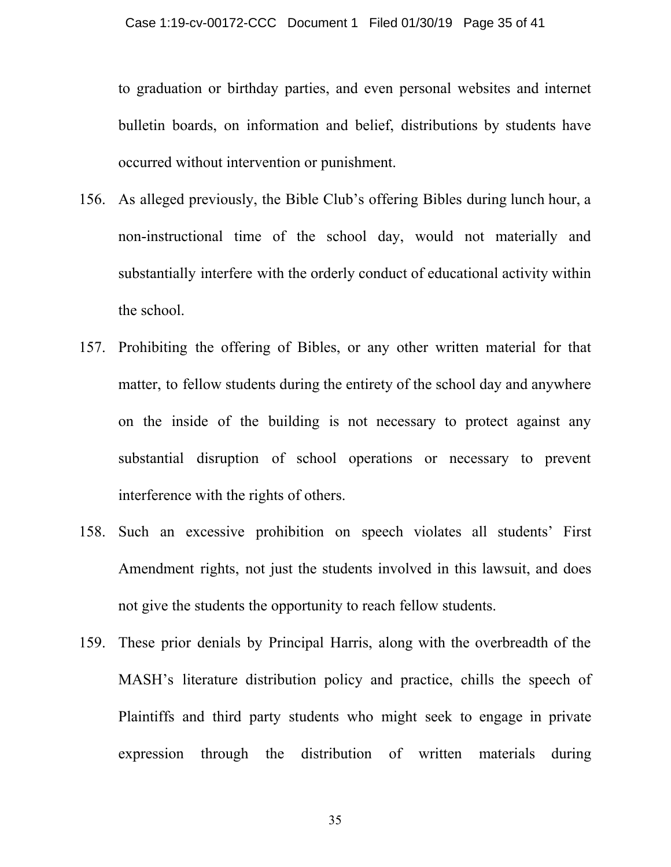to graduation or birthday parties, and even personal websites and internet bulletin boards, on information and belief, distributions by students have occurred without intervention or punishment.

- 156. As alleged previously, the Bible Club's offering Bibles during lunch hour, a non-instructional time of the school day, would not materially and substantially interfere with the orderly conduct of educational activity within the school.
- 157. Prohibiting the offering of Bibles, or any other written material for that matter, to fellow students during the entirety of the school day and anywhere on the inside of the building is not necessary to protect against any substantial disruption of school operations or necessary to prevent interference with the rights of others.
- 158. Such an excessive prohibition on speech violates all students' First Amendment rights, not just the students involved in this lawsuit, and does not give the students the opportunity to reach fellow students.
- 159. These prior denials by Principal Harris, along with the overbreadth of the MASH's literature distribution policy and practice, chills the speech of Plaintiffs and third party students who might seek to engage in private expression through the distribution of written materials during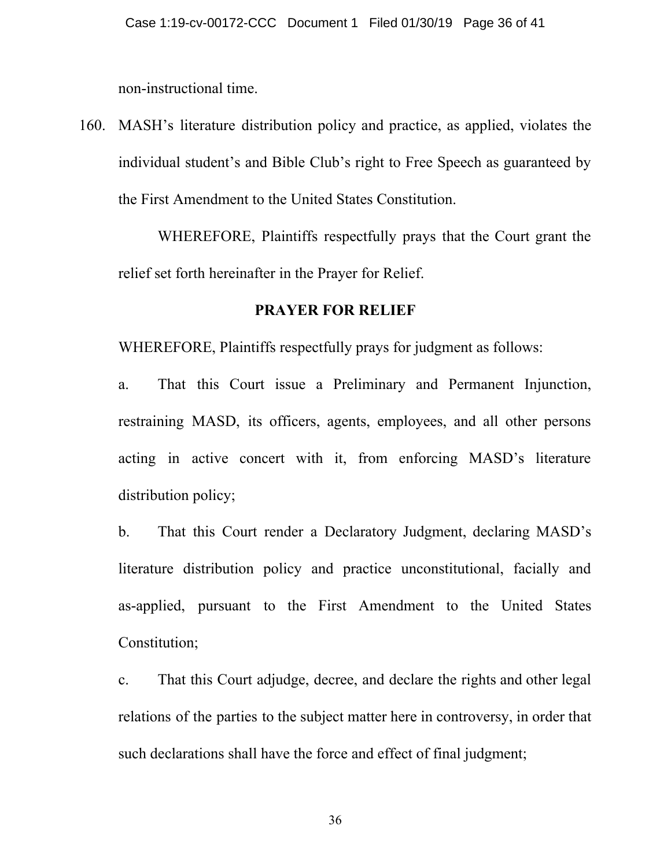non-instructional time.

160. MASH's literature distribution policy and practice, as applied, violates the individual student's and Bible Club's right to Free Speech as guaranteed by the First Amendment to the United States Constitution.

WHEREFORE, Plaintiffs respectfully prays that the Court grant the relief set forth hereinafter in the Prayer for Relief.

#### **PRAYER FOR RELIEF**

WHEREFORE, Plaintiffs respectfully prays for judgment as follows:

a. That this Court issue a Preliminary and Permanent Injunction, restraining MASD, its officers, agents, employees, and all other persons acting in active concert with it, from enforcing MASD's literature distribution policy;

b. That this Court render a Declaratory Judgment, declaring MASD's literature distribution policy and practice unconstitutional, facially and as-applied, pursuant to the First Amendment to the United States Constitution;

c. That this Court adjudge, decree, and declare the rights and other legal relations of the parties to the subject matter here in controversy, in order that such declarations shall have the force and effect of final judgment;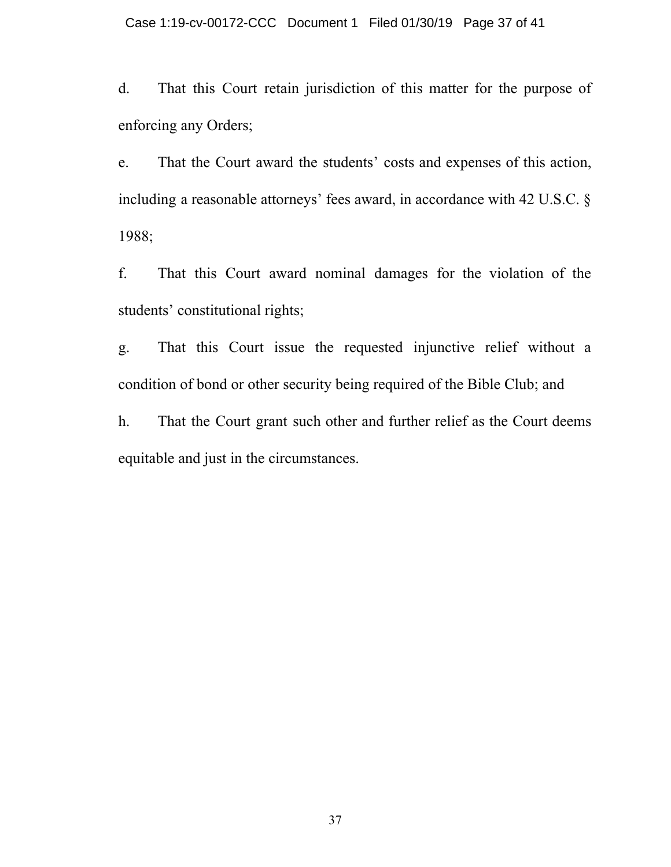d. That this Court retain jurisdiction of this matter for the purpose of enforcing any Orders;

e. That the Court award the students' costs and expenses of this action, including a reasonable attorneys' fees award, in accordance with 42 U.S.C. § 1988;

f. That this Court award nominal damages for the violation of the students' constitutional rights;

g. That this Court issue the requested injunctive relief without a condition of bond or other security being required of the Bible Club; and

h. That the Court grant such other and further relief as the Court deems equitable and just in the circumstances.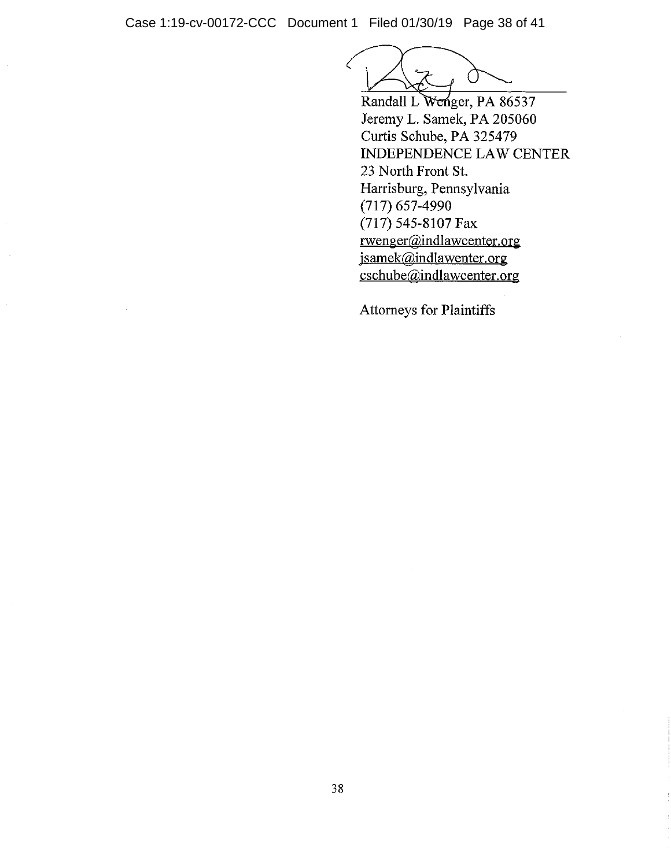Case 1:19-cv-00172-CCC Document 1 Filed 01/30/19 Page 38 of 41

Randall L Wenger, PA 86537 Jeremy L. Samek, PA 205060 Curtis Schube, PA 325479 INDEPENDENCE LAW CENTER 23 North Front St. Harrisburg, Pennsylvania  $(717)$  657-4990 (717) 545-8107 Fax rwenger@indlawcenter.org jsamek@indlawenter.org cschube@indlawcenter.org

Attorneys for Plaintiffs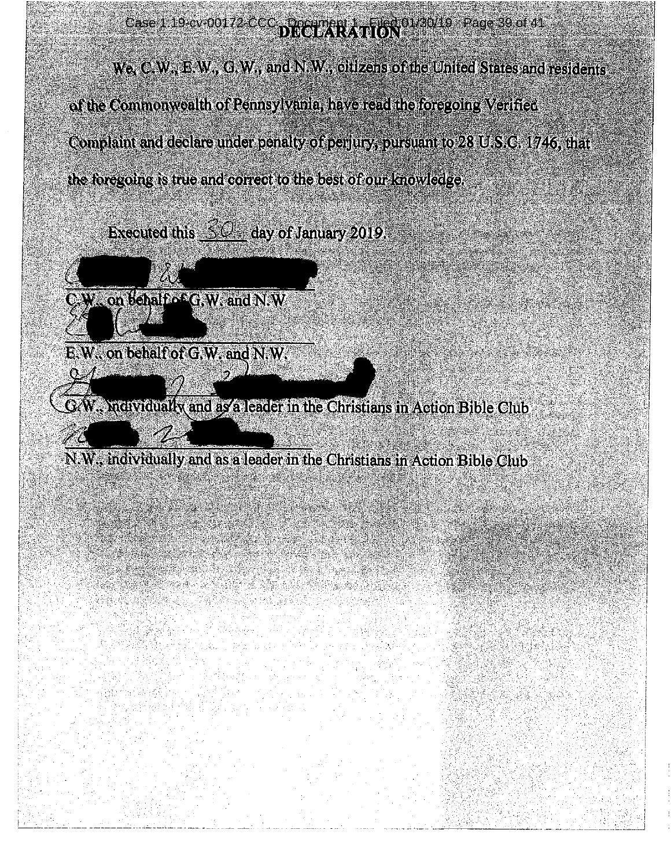Case 1:19-cv-00172-CCC a poemped 1 Filed 01/30/19 Page 39 of 41

We, C.W., E.W., G.W., and N.W., olitzens of the United States and residents of the Commonwealth of Pennsylvania, have read the foregoing Verified Complaint and declare under penalty of permits, pursuant to 28 U.S.C. 1746, that the foregoing is true and correct to the best of our knowledge.

**Executed this 50 day of January 2019.** 



E.W. on behalf of G.W. and N.W.

GAV. Nanythall Render a leader in the Christians in Action Bible Club.

N.W., individually and as a leader in the Christians in Action Bible Club

an an t-ainm an an Dùbhlach.<br>Tachartasan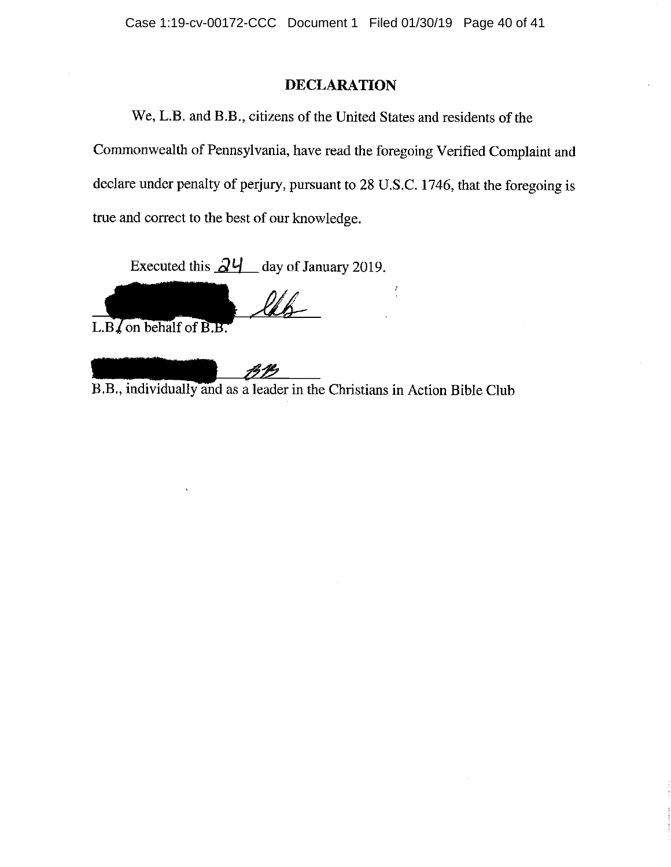#### **DECLARATION**

We, L.B. and B.B., citizens of the United States and residents of the Commonwealth of Pennsylvania, have read the foregoing Verified Complaint and declare under penalty of perjury, pursuant to 28 U.S.C. 1746, that the foregoing is true and correct to the best of our knowledge.

Executed this  $\frac{\partial \mathcal{U}}{\partial \mathcal{U}}$  day of January 2019.

leb

L.B., on behalf of B.B.

B.B., individually and as a leader in the Christians in Action Bible Club